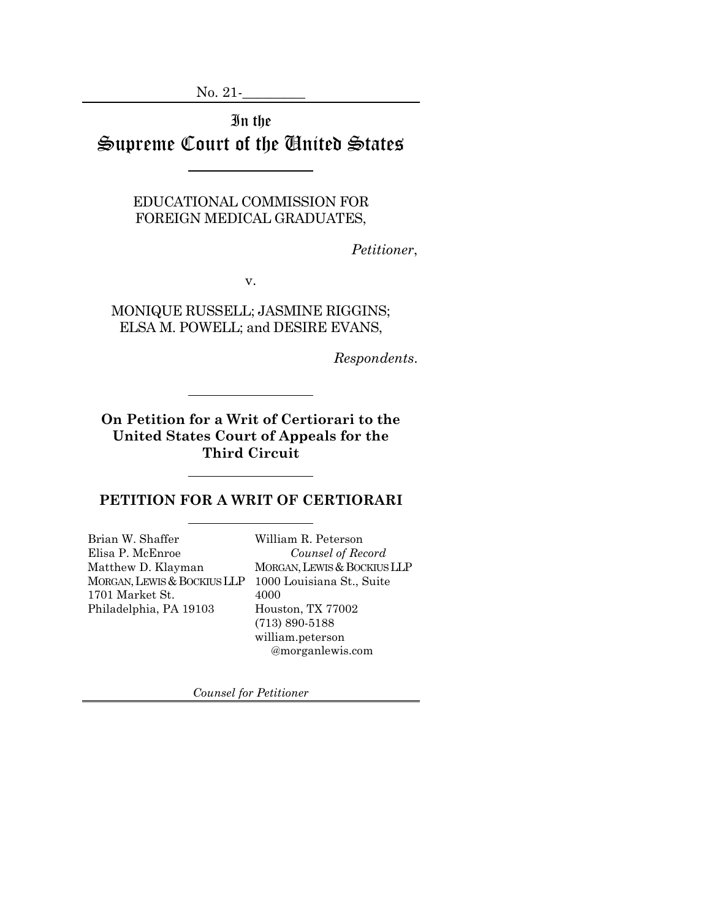No. 21-

In the Supreme Court of the United States

> EDUCATIONAL COMMISSION FOR FOREIGN MEDICAL GRADUATES,

> > *Petitioner*,

v.

MONIQUE RUSSELL; JASMINE RIGGINS; ELSA M. POWELL; and DESIRE EVANS,

*Respondents*.

**On Petition for a Writ of Certiorari to the United States Court of Appeals for the Third Circuit**

### **PETITION FOR A WRIT OF CERTIORARI**

Brian W. Shaffer Elisa P. McEnroe Matthew D. Klayman MORGAN, LEWIS & BOCKIUS LLP 1701 Market St. Philadelphia, PA 19103

William R. Peterson *Counsel of Record* MORGAN, LEWIS & BOCKIUS LLP 1000 Louisiana St., Suite 4000 Houston, TX 77002 (713) 890-5188 william.peterson @morganlewis.com

*Counsel for Petitioner*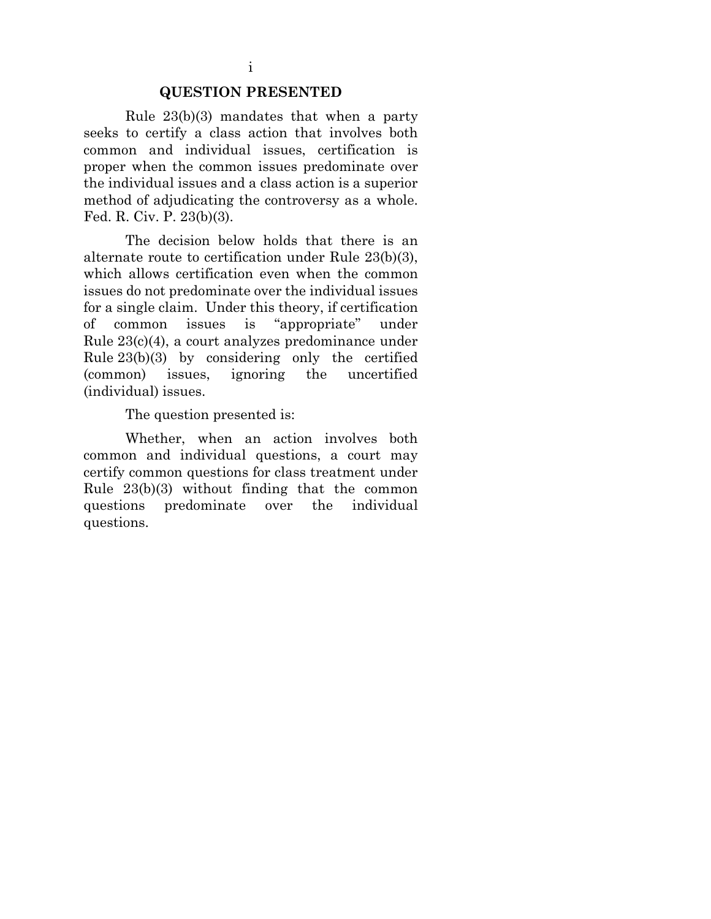#### **QUESTION PRESENTED**

<span id="page-1-0"></span>Rule 23(b)(3) mandates that when a party seeks to certify a class action that involves both common and individual issues, certification is proper when the common issues predominate over the individual issues and a class action is a superior method of adjudicating the controversy as a whole. Fed. R. Civ. P. 23(b)(3).

The decision below holds that there is an alternate route to certification under Rule 23(b)(3), which allows certification even when the common issues do not predominate over the individual issues for a single claim. Under this theory, if certification of common issues is "appropriate" under Rule 23(c)(4), a court analyzes predominance under Rule 23(b)(3) by considering only the certified (common) issues, ignoring the uncertified (individual) issues.

The question presented is:

Whether, when an action involves both common and individual questions, a court may certify common questions for class treatment under Rule 23(b)(3) without finding that the common questions predominate over the individual questions.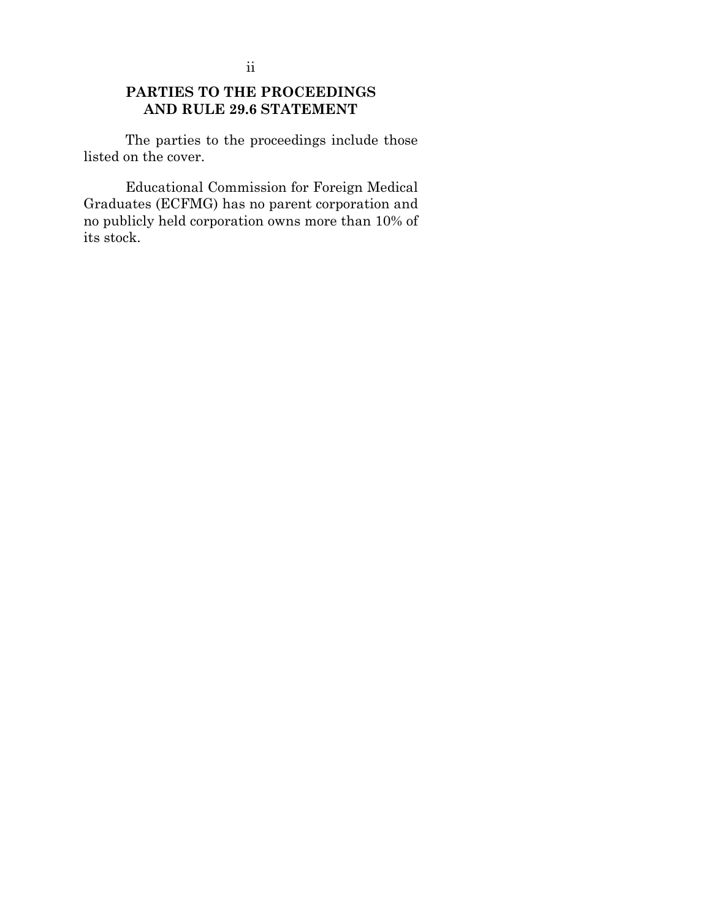<span id="page-2-0"></span>The parties to the proceedings include those listed on the cover.

Educational Commission for Foreign Medical Graduates (ECFMG) has no parent corporation and no publicly held corporation owns more than 10% of its stock.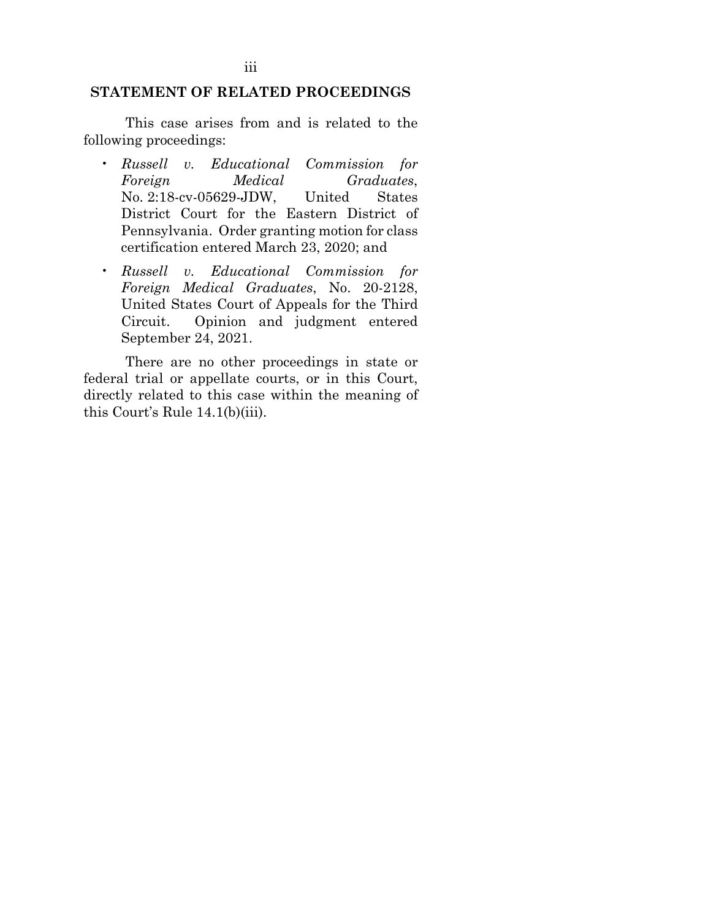#### <span id="page-3-0"></span>**STATEMENT OF RELATED PROCEEDINGS**

This case arises from and is related to the following proceedings:

- *Russell v. Educational Commission for Foreign Medical Graduates*, No. 2:18-cv-05629-JDW, United States District Court for the Eastern District of Pennsylvania. Order granting motion for class certification entered March 23, 2020; and
- *Russell v. Educational Commission for Foreign Medical Graduates*, No. 20-2128, United States Court of Appeals for the Third Circuit. Opinion and judgment entered September 24, 2021.

There are no other proceedings in state or federal trial or appellate courts, or in this Court, directly related to this case within the meaning of this Court's Rule 14.1(b)(iii).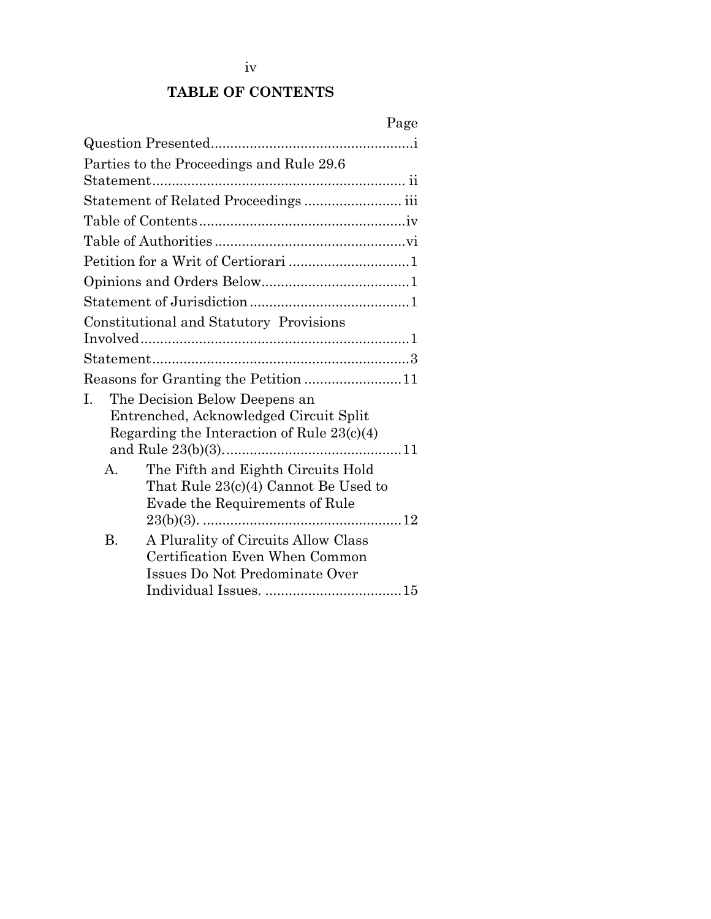<span id="page-4-0"></span>

|    |           |                                              | Page |
|----|-----------|----------------------------------------------|------|
|    |           |                                              |      |
|    |           | Parties to the Proceedings and Rule 29.6     |      |
|    |           |                                              |      |
|    |           | Statement of Related Proceedings  iii        |      |
|    |           |                                              |      |
|    |           |                                              |      |
|    |           |                                              |      |
|    |           |                                              |      |
|    |           |                                              |      |
|    |           | Constitutional and Statutory Provisions      |      |
|    |           |                                              |      |
|    |           |                                              |      |
|    |           | Reasons for Granting the Petition 11         |      |
| I. |           | The Decision Below Deepens an                |      |
|    |           | Entrenched, Acknowledged Circuit Split       |      |
|    |           | Regarding the Interaction of Rule $23(c)(4)$ |      |
|    |           |                                              |      |
|    | $A_{-}$   | The Fifth and Eighth Circuits Hold           |      |
|    |           | That Rule 23(c)(4) Cannot Be Used to         |      |
|    |           | Evade the Requirements of Rule               |      |
|    |           |                                              |      |
|    | <b>B.</b> | A Plurality of Circuits Allow Class          |      |
|    |           | Certification Even When Common               |      |
|    |           | Issues Do Not Predominate Over               |      |
|    |           |                                              |      |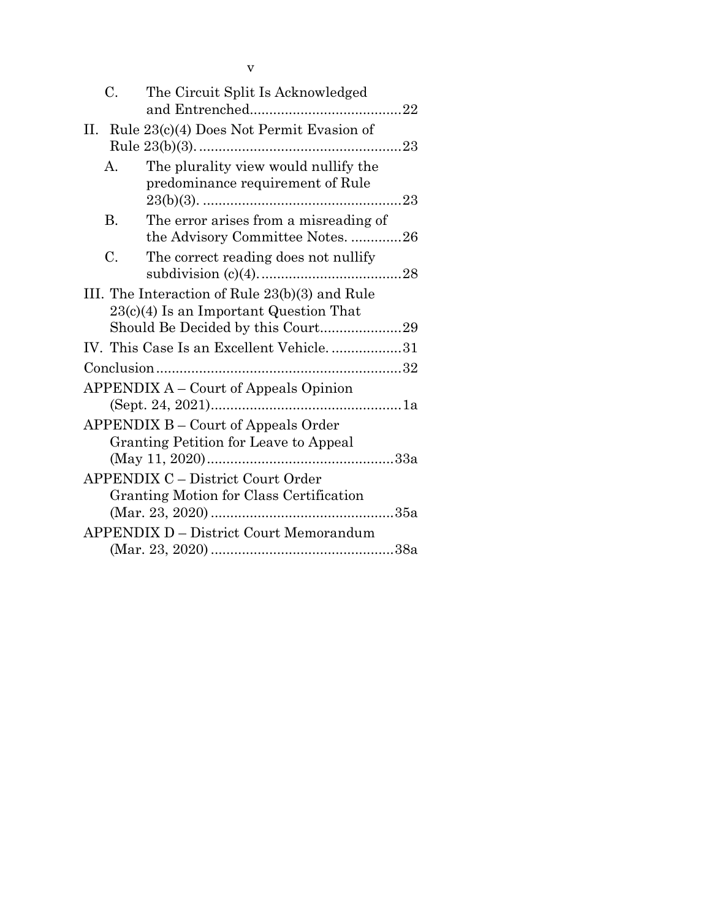| C.         | The Circuit Split Is Acknowledged                                                                                               |  |
|------------|---------------------------------------------------------------------------------------------------------------------------------|--|
|            | II. Rule 23(c)(4) Does Not Permit Evasion of                                                                                    |  |
| А.         | The plurality view would nullify the<br>predominance requirement of Rule                                                        |  |
| В.         | The error arises from a misreading of<br>the Advisory Committee Notes26                                                         |  |
| C.         | The correct reading does not nullify                                                                                            |  |
|            | III. The Interaction of Rule 23(b)(3) and Rule<br>$23(c)(4)$ Is an Important Question That<br>Should Be Decided by this Court29 |  |
|            | IV. This Case Is an Excellent Vehicle31                                                                                         |  |
| Conclusion |                                                                                                                                 |  |
|            | APPENDIX A – Court of Appeals Opinion<br><b>APPENDIX B - Court of Appeals Order</b>                                             |  |
|            | <b>Granting Petition for Leave to Appeal</b>                                                                                    |  |
|            | <b>APPENDIX C – District Court Order</b><br>Granting Motion for Class Certification                                             |  |
|            | <b>APPENDIX D - District Court Memorandum</b>                                                                                   |  |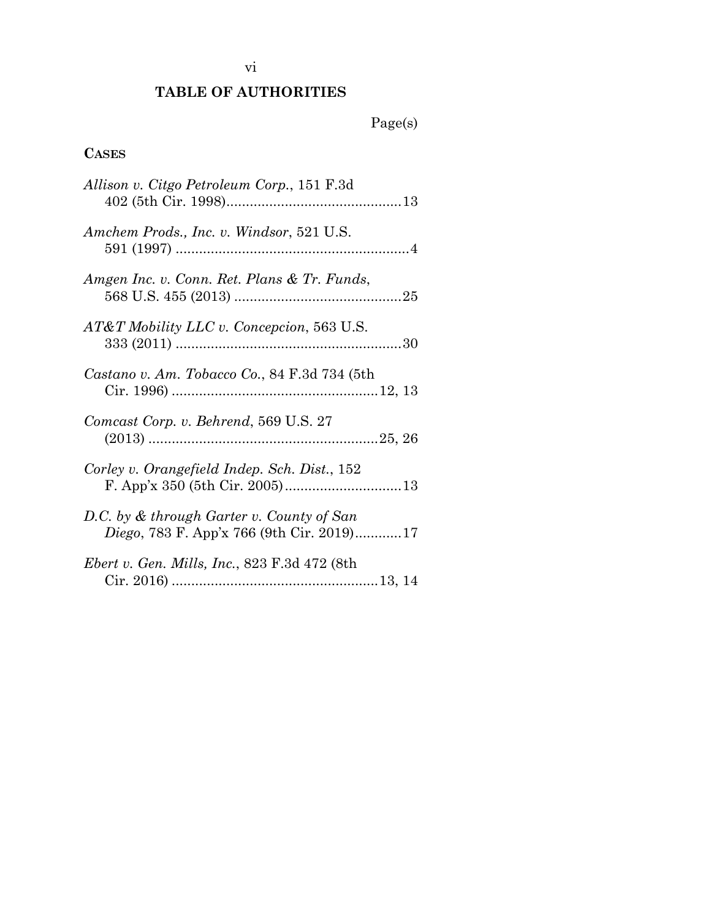# vi

# **TABLE OF AUTHORITIES**

# Page(s)

# <span id="page-6-0"></span>**CASES**

| Allison v. Citgo Petroleum Corp., 151 F.3d                                                     |
|------------------------------------------------------------------------------------------------|
| Amchem Prods., Inc. v. Windsor, 521 U.S.                                                       |
| Amgen Inc. v. Conn. Ret. Plans & Tr. Funds,                                                    |
| AT&T Mobility LLC v. Concepcion, 563 U.S.                                                      |
| Castano v. Am. Tobacco Co., 84 F.3d 734 (5th                                                   |
| Comcast Corp. v. Behrend, 569 U.S. 27                                                          |
| Corley v. Orangefield Indep. Sch. Dist., 152                                                   |
| D.C. by & through Garter v. County of San<br><i>Diego</i> , 783 F. App'x 766 (9th Cir. 2019)17 |
| <i>Ebert v. Gen. Mills, Inc., 823 F.3d 472 (8th)</i>                                           |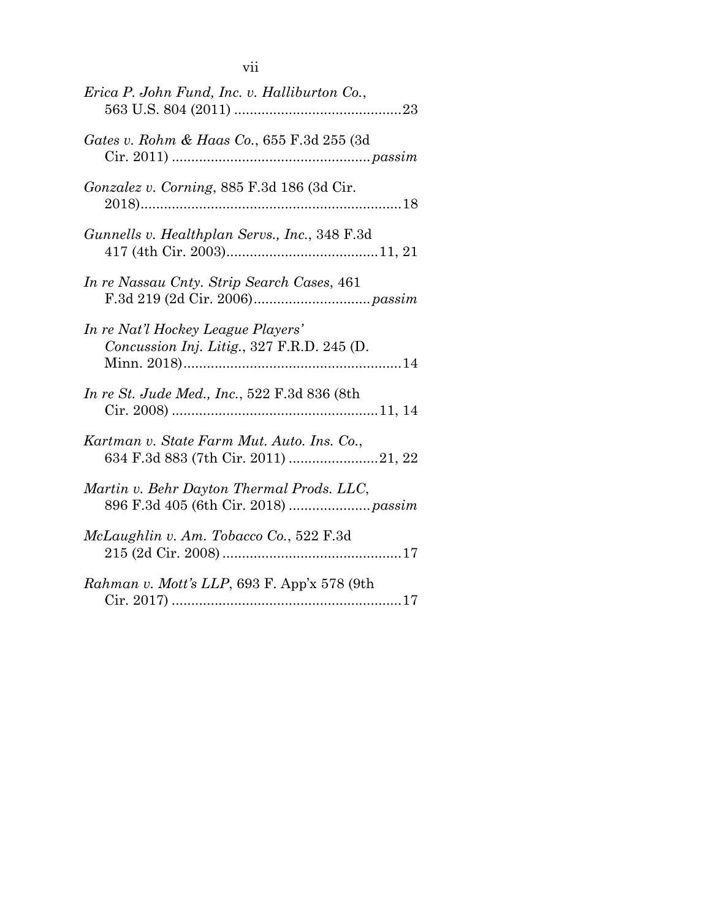| Erica P. John Fund, Inc. v. Halliburton Co.,                                      |
|-----------------------------------------------------------------------------------|
| Gates v. Rohm & Haas Co., 655 F.3d 255 (3d)                                       |
| Gonzalez v. Corning, 885 F.3d 186 (3d Cir.                                        |
| Gunnells v. Healthplan Servs., Inc., 348 F.3d                                     |
| In re Nassau Cnty. Strip Search Cases, 461                                        |
| In re Nat'l Hockey League Players'<br>Concussion Inj. Litig., 327 F.R.D. 245 (D.  |
| In re St. Jude Med., Inc., 522 F.3d 836 (8th                                      |
| Kartman v. State Farm Mut. Auto. Ins. Co.,                                        |
| Martin v. Behr Dayton Thermal Prods. LLC,<br>896 F.3d 405 (6th Cir. 2018)  passim |
| McLaughlin v. Am. Tobacco Co., 522 F.3d                                           |
| Rahman v. Mott's LLP, 693 F. App'x 578 (9th                                       |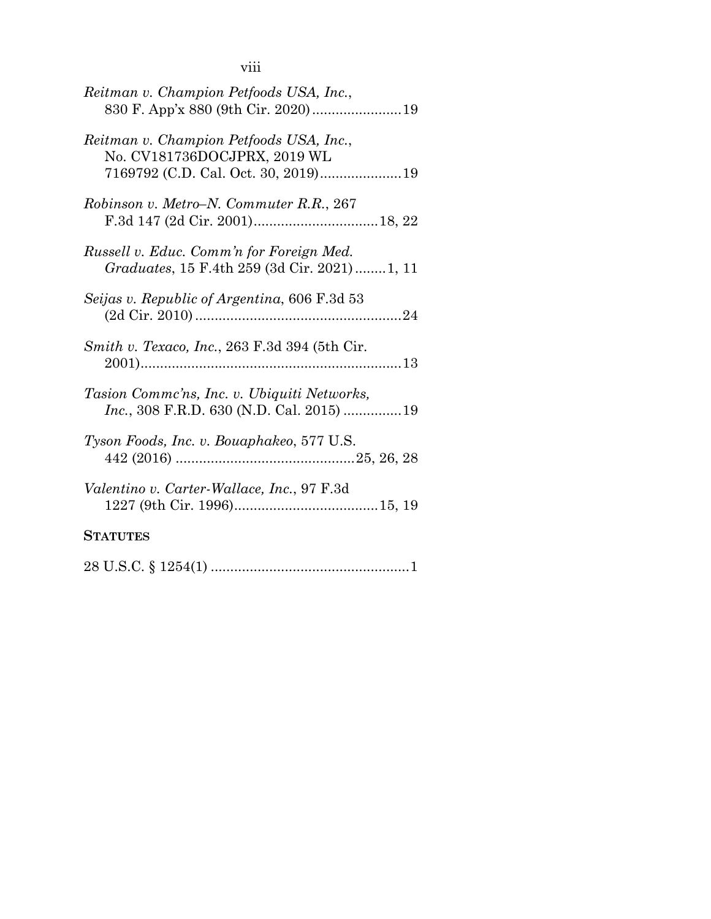|  | × | × |
|--|---|---|

| Reitman v. Champion Petfoods USA, Inc.,<br>830 F. App'x 880 (9th Cir. 2020)19                   |
|-------------------------------------------------------------------------------------------------|
| Reitman v. Champion Petfoods USA, Inc.,<br>No. CV181736DOCJPRX, 2019 WL                         |
| Robinson v. Metro–N. Commuter R.R., 267                                                         |
| Russell v. Educ. Comm'n for Foreign Med.<br><i>Graduates</i> , 15 F.4th 259 (3d Cir. 2021)1, 11 |
| Seijas v. Republic of Argentina, 606 F.3d 53                                                    |
| <i>Smith v. Texaco, Inc., 263 F.3d 394 (5th Cir.</i>                                            |
| Tasion Comme'ns, Inc. v. Ubiquiti Networks,<br><i>Inc.</i> , 308 F.R.D. 630 (N.D. Cal. 2015) 19 |
| Tyson Foods, Inc. v. Bouaphakeo, 577 U.S.                                                       |
| Valentino v. Carter-Wallace, Inc., 97 F.3d                                                      |
| <b>STATUTES</b>                                                                                 |
|                                                                                                 |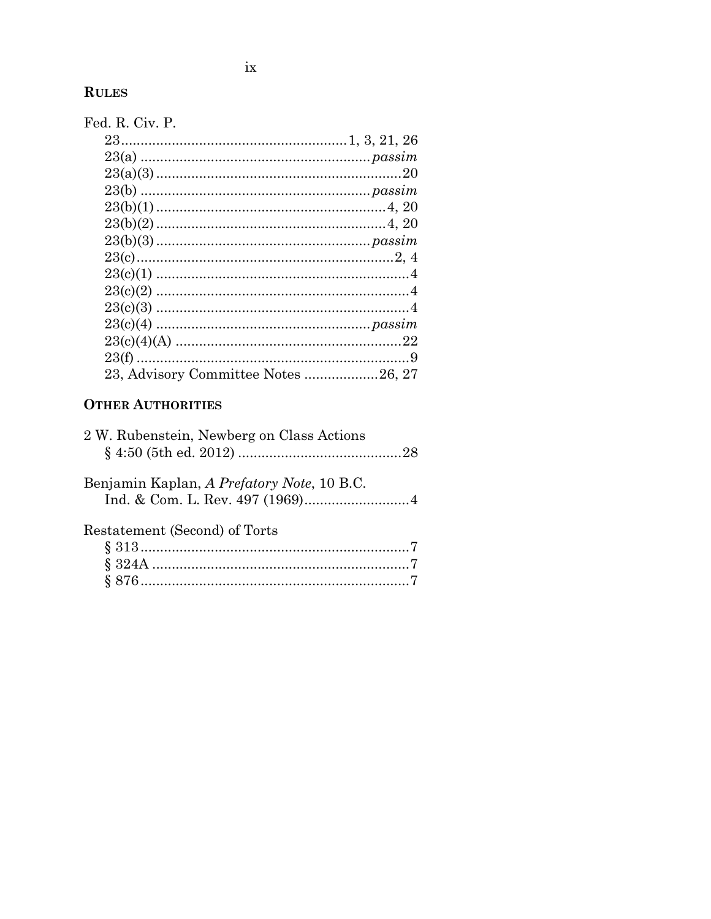# **RULES**

| Fed. R. Civ. P.                     |  |
|-------------------------------------|--|
|                                     |  |
|                                     |  |
|                                     |  |
|                                     |  |
|                                     |  |
|                                     |  |
|                                     |  |
|                                     |  |
|                                     |  |
|                                     |  |
|                                     |  |
|                                     |  |
|                                     |  |
|                                     |  |
| 23, Advisory Committee Notes 26, 27 |  |

# **OTHER AUTHORITIES**

| 2 W. Rubenstein, Newberg on Class Actions  |  |
|--------------------------------------------|--|
| Benjamin Kaplan, A Prefatory Note, 10 B.C. |  |
| Restatement (Second) of Torts              |  |
|                                            |  |
|                                            |  |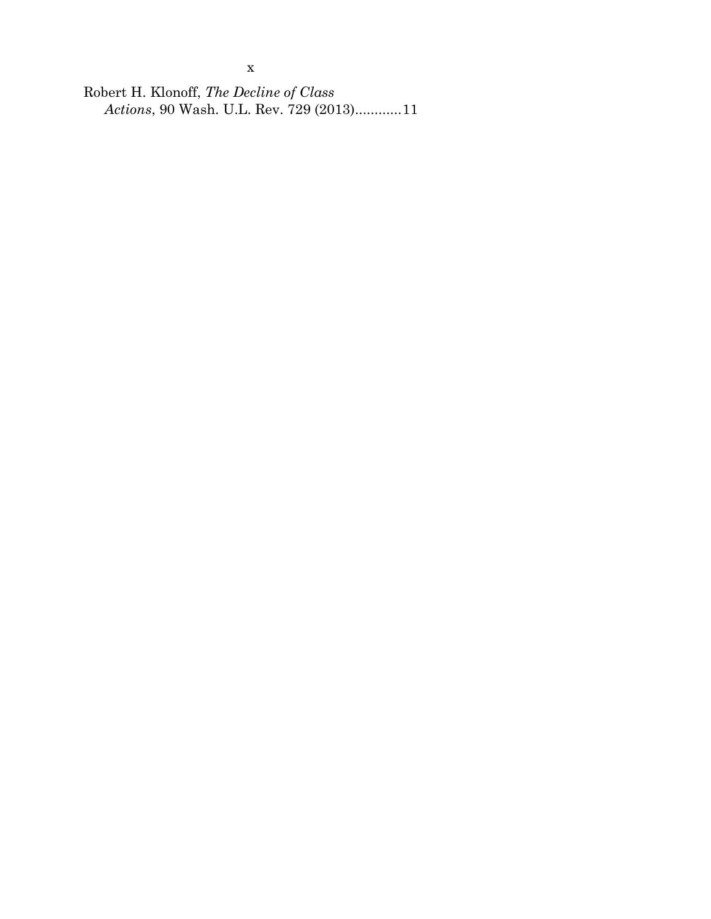Robert H. Klonoff, *The Decline of Class Actions*, 90 Wash. U.L. Rev. 729 (2013)...........[.11](#page-21-7)

x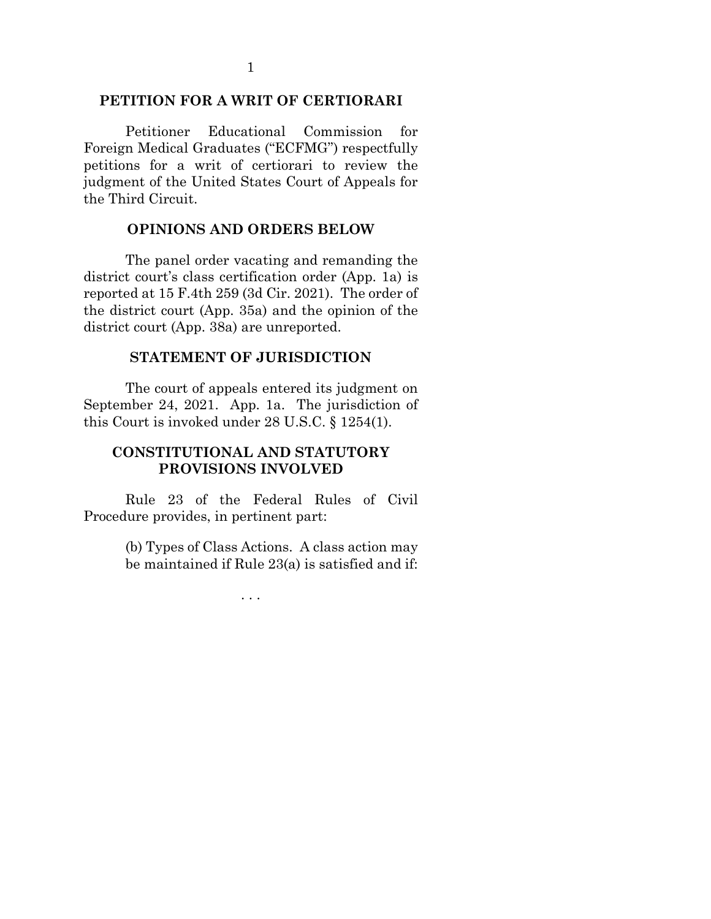### <span id="page-11-0"></span>**PETITION FOR A WRIT OF CERTIORARI**

Petitioner Educational Commission for Foreign Medical Graduates ("ECFMG") respectfully petitions for a writ of certiorari to review the judgment of the United States Court of Appeals for the Third Circuit.

#### <span id="page-11-4"></span>**OPINIONS AND ORDERS BELOW**

<span id="page-11-1"></span>The panel order vacating and remanding the district court's class certification order (App. 1a) is reported at 15 F.4th 259 (3d Cir. 2021). The order of the district court (App. 35a) and the opinion of the district court (App. 38a) are unreported.

### <span id="page-11-5"></span>**STATEMENT OF JURISDICTION**

<span id="page-11-2"></span>The court of appeals entered its judgment on September 24, 2021. App. 1a. The jurisdiction of this Court is invoked under 28 U.S.C. § 1254(1).

### <span id="page-11-3"></span>**CONSTITUTIONAL AND STATUTORY PROVISIONS INVOLVED**

<span id="page-11-6"></span>Rule 23 of the Federal Rules of Civil Procedure provides, in pertinent part:

> <span id="page-11-8"></span>(b) Types of Class Actions. A class action may be maintained if Rule 23(a) is satisfied and if:

> > <span id="page-11-7"></span>. . .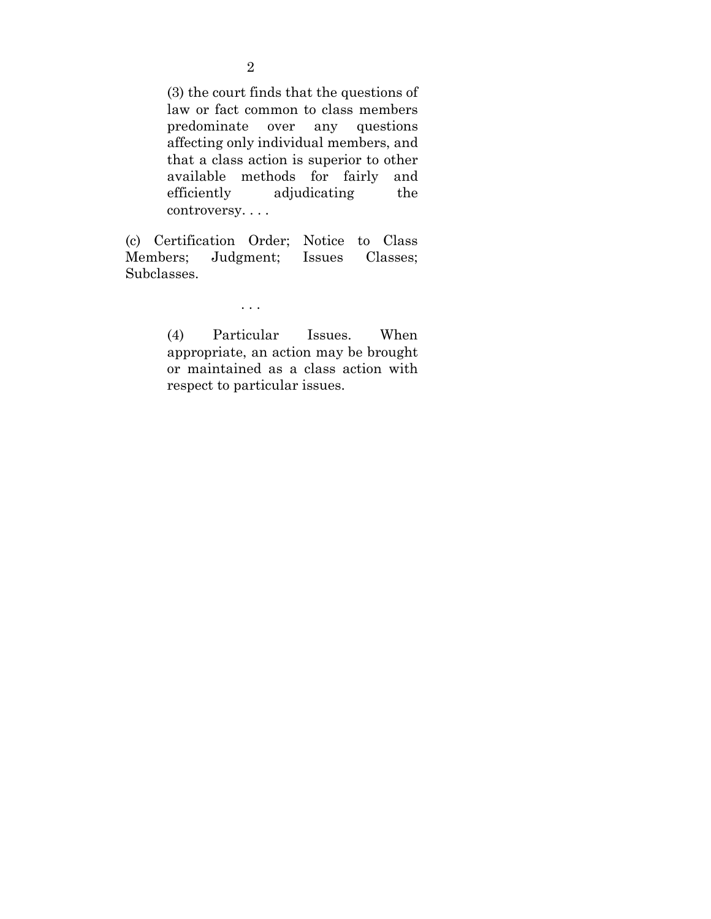<span id="page-12-0"></span>(3) the court finds that the questions of law or fact common to class members predominate over any questions affecting only individual members, and that a class action is superior to other available methods for fairly and efficiently adjudicating the controversy. . . .

<span id="page-12-1"></span>(c) Certification Order; Notice to Class Members; Judgment; Issues Classes; Subclasses.

. . .

<span id="page-12-2"></span>(4) Particular Issues. When appropriate, an action may be brought or maintained as a class action with respect to particular issues.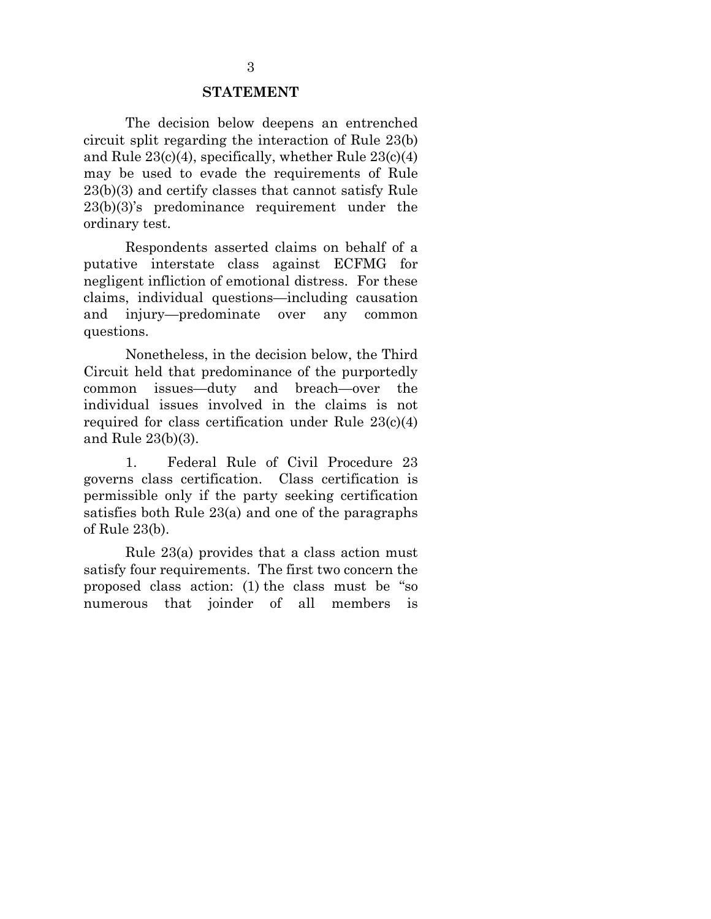#### **STATEMENT**

<span id="page-13-0"></span>The decision below deepens an entrenched circuit split regarding the interaction of Rule 23(b) and Rule 23(c)(4), specifically, whether Rule 23(c)(4) may be used to evade the requirements of Rule 23(b)(3) and certify classes that cannot satisfy Rule 23(b)(3)'s predominance requirement under the ordinary test.

Respondents asserted claims on behalf of a putative interstate class against ECFMG for negligent infliction of emotional distress. For these claims, individual questions—including causation and injury—predominate over any common questions.

Nonetheless, in the decision below, the Third Circuit held that predominance of the purportedly common issues—duty and breach—over the individual issues involved in the claims is not required for class certification under Rule 23(c)(4) and Rule 23(b)(3).

<span id="page-13-1"></span>1. Federal Rule of Civil Procedure 23 governs class certification. Class certification is permissible only if the party seeking certification satisfies both Rule 23(a) and one of the paragraphs of Rule 23(b).

Rule 23(a) provides that a class action must satisfy four requirements. The first two concern the proposed class action: (1) the class must be "so numerous that joinder of all members is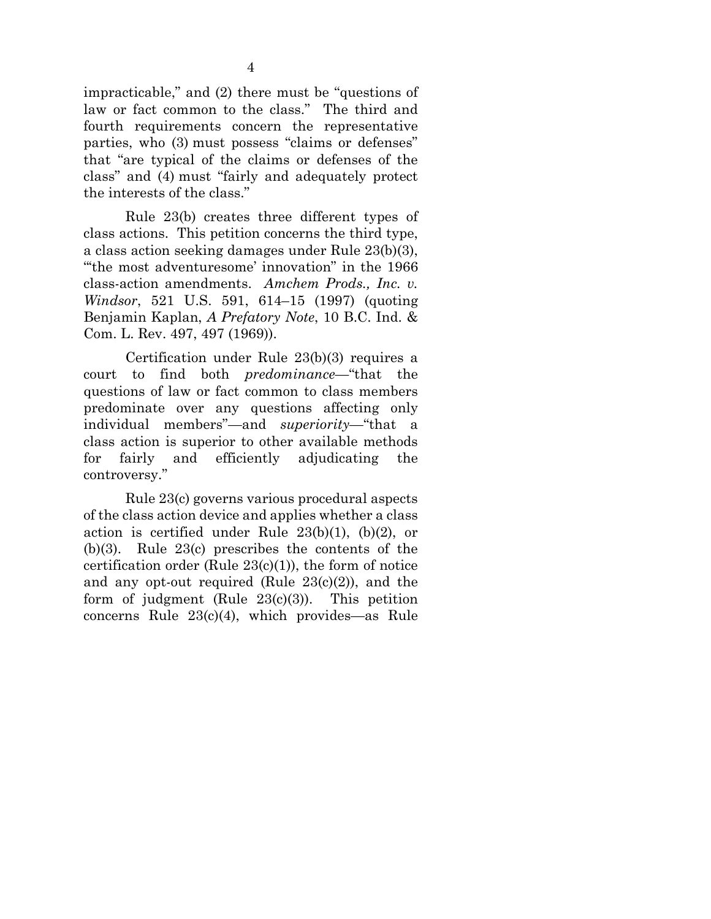impracticable," and (2) there must be "questions of law or fact common to the class." The third and fourth requirements concern the representative parties, who (3) must possess "claims or defenses" that "are typical of the claims or defenses of the class" and (4) must "fairly and adequately protect the interests of the class."

<span id="page-14-0"></span>Rule 23(b) creates three different types of class actions. This petition concerns the third type, a class action seeking damages under Rule 23(b)(3), "'the most adventuresome' innovation" in the 1966 class-action amendments. *Amchem Prods., Inc. v. Windsor*, 521 U.S. 591, 614–15 (1997) (quoting Benjamin Kaplan, *A Prefatory Note*, 10 B.C. Ind. & Com. L. Rev. 497, 497 (1969)).

<span id="page-14-6"></span>Certification under Rule 23(b)(3) requires a court to find both *predominance*—"that the questions of law or fact common to class members predominate over any questions affecting only individual members"—and *superiority*—"that a class action is superior to other available methods for fairly and efficiently adjudicating the controversy."

<span id="page-14-5"></span><span id="page-14-4"></span><span id="page-14-3"></span><span id="page-14-2"></span><span id="page-14-1"></span>Rule 23(c) governs various procedural aspects of the class action device and applies whether a class action is certified under Rule  $23(b)(1)$ ,  $(b)(2)$ , or (b)(3). Rule 23(c) prescribes the contents of the certification order (Rule  $23(c)(1)$ ), the form of notice and any opt-out required (Rule  $23(c)(2)$ ), and the form of judgment (Rule  $23(c)(3)$ ). This petition concerns Rule 23(c)(4), which provides—as Rule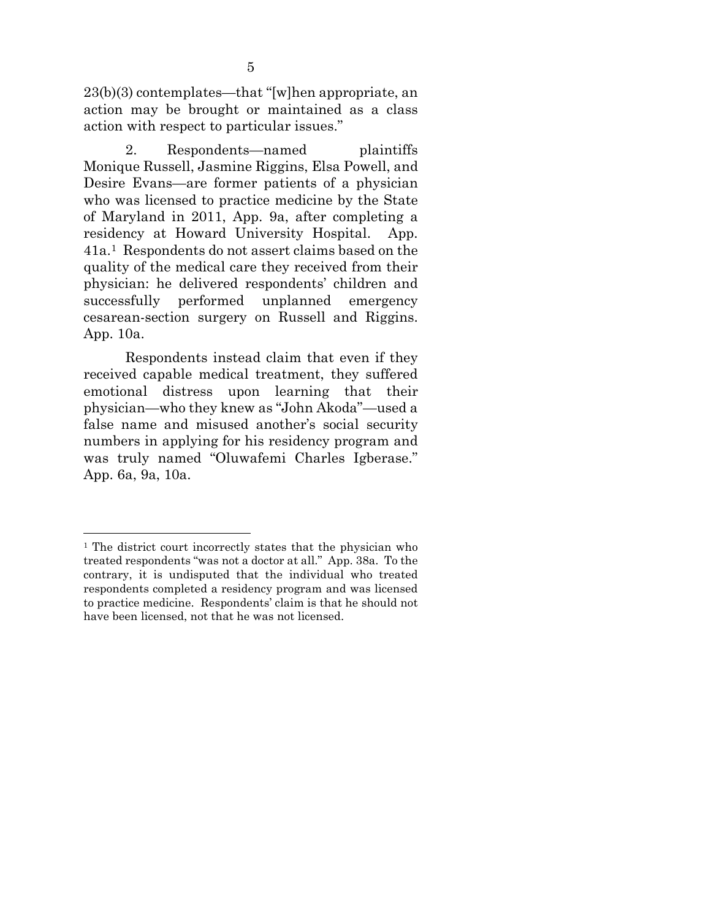23(b)(3) contemplates—that "[w]hen appropriate, an action may be brought or maintained as a class action with respect to particular issues."

2. Respondents—named plaintiffs Monique Russell, Jasmine Riggins, Elsa Powell, and Desire Evans—are former patients of a physician who was licensed to practice medicine by the State of Maryland in 2011, App. 9a, after completing a residency at Howard University Hospital. App. 41a.[1](#page-15-0) Respondents do not assert claims based on the quality of the medical care they received from their physician: he delivered respondents' children and successfully performed unplanned emergency cesarean-section surgery on Russell and Riggins. App. 10a.

Respondents instead claim that even if they received capable medical treatment, they suffered emotional distress upon learning that their physician—who they knew as "John Akoda"—used a false name and misused another's social security numbers in applying for his residency program and was truly named "Oluwafemi Charles Igberase." App. 6a, 9a, 10a.

<span id="page-15-0"></span><sup>&</sup>lt;sup>1</sup> The district court incorrectly states that the physician who treated respondents "was not a doctor at all." App. 38a. To the contrary, it is undisputed that the individual who treated respondents completed a residency program and was licensed to practice medicine. Respondents' claim is that he should not have been licensed, not that he was not licensed.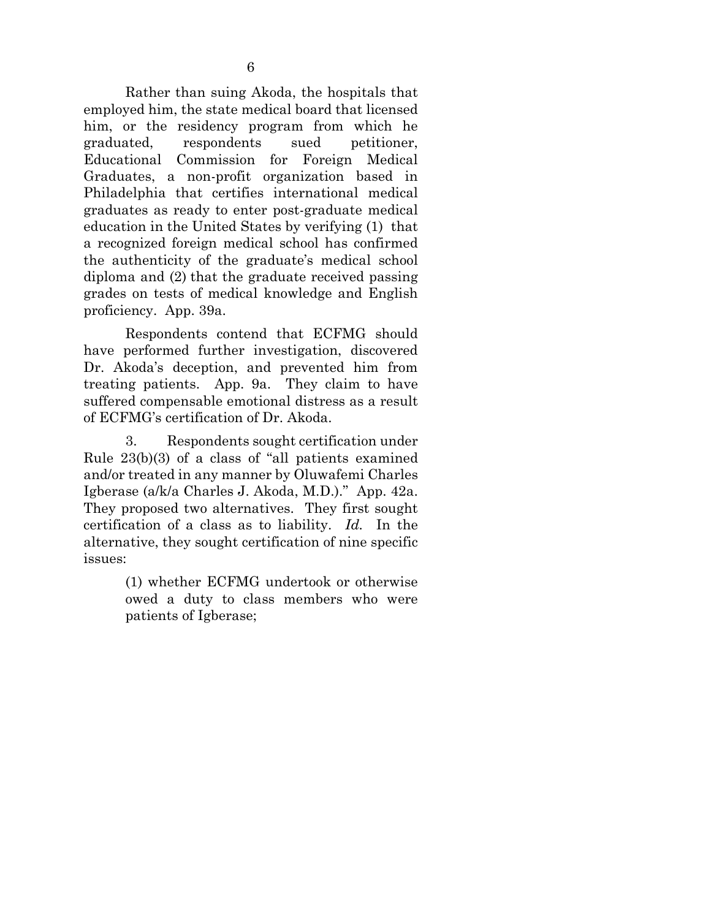Rather than suing Akoda, the hospitals that employed him, the state medical board that licensed him, or the residency program from which he graduated, respondents sued petitioner, Educational Commission for Foreign Medical Graduates, a non-profit organization based in Philadelphia that certifies international medical graduates as ready to enter post-graduate medical education in the United States by verifying (1) that a recognized foreign medical school has confirmed the authenticity of the graduate's medical school diploma and (2) that the graduate received passing grades on tests of medical knowledge and English proficiency. App. 39a.

Respondents contend that ECFMG should have performed further investigation, discovered Dr. Akoda's deception, and prevented him from treating patients. App. 9a. They claim to have suffered compensable emotional distress as a result of ECFMG's certification of Dr. Akoda.

3. Respondents sought certification under Rule 23(b)(3) of a class of "all patients examined and/or treated in any manner by Oluwafemi Charles Igberase (a/k/a Charles J. Akoda, M.D.)." App. 42a. They proposed two alternatives. They first sought certification of a class as to liability. *Id.* In the alternative, they sought certification of nine specific issues:

> (1) whether ECFMG undertook or otherwise owed a duty to class members who were patients of Igberase;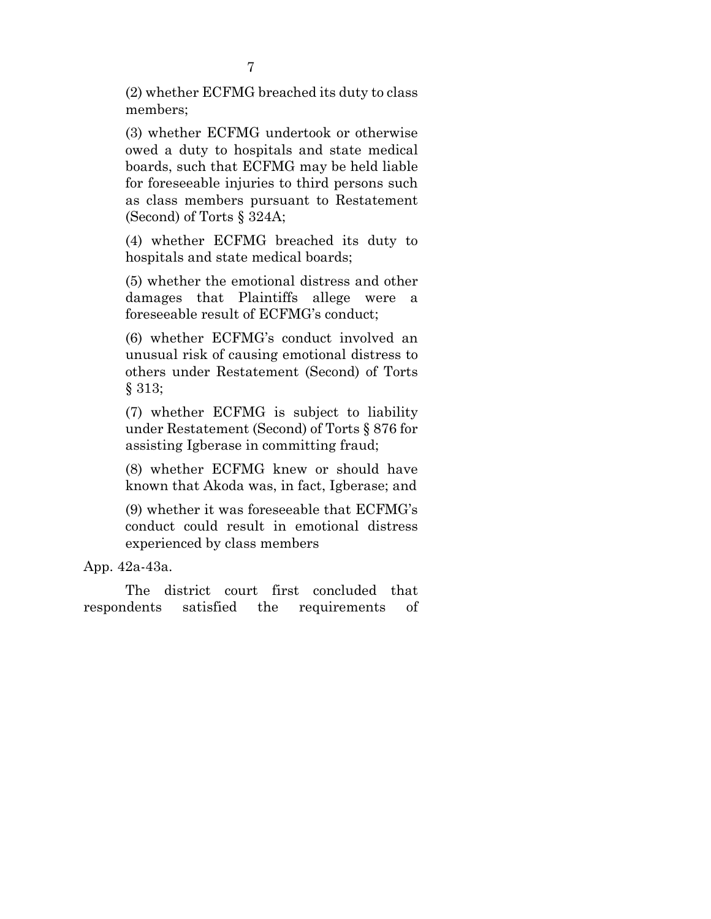(2) whether ECFMG breached its duty to class members;

(3) whether ECFMG undertook or otherwise owed a duty to hospitals and state medical boards, such that ECFMG may be held liable for foreseeable injuries to third persons such as class members pursuant to Restatement (Second) of Torts § 324A;

<span id="page-17-1"></span>(4) whether ECFMG breached its duty to hospitals and state medical boards;

(5) whether the emotional distress and other damages that Plaintiffs allege were a foreseeable result of ECFMG's conduct;

<span id="page-17-0"></span>(6) whether ECFMG's conduct involved an unusual risk of causing emotional distress to others under Restatement (Second) of Torts § 313;

<span id="page-17-2"></span>(7) whether ECFMG is subject to liability under Restatement (Second) of Torts § 876 for assisting Igberase in committing fraud;

(8) whether ECFMG knew or should have known that Akoda was, in fact, Igberase; and

(9) whether it was foreseeable that ECFMG's conduct could result in emotional distress experienced by class members

App. 42a-43a.

The district court first concluded that respondents satisfied the requirements of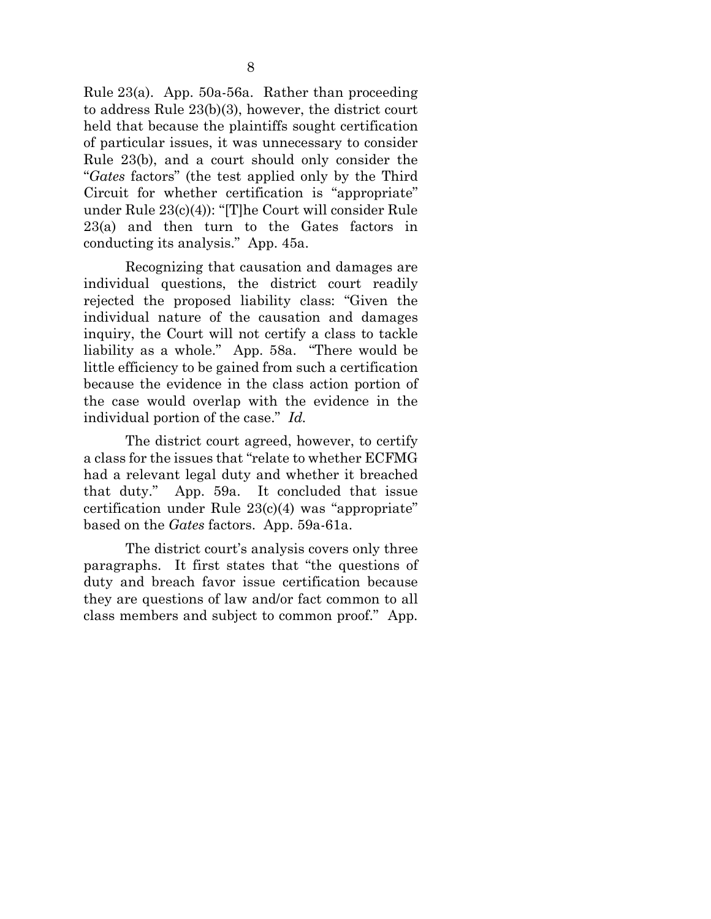<span id="page-18-0"></span>Rule 23(a). App. 50a-56a. Rather than proceeding to address Rule 23(b)(3), however, the district court held that because the plaintiffs sought certification of particular issues, it was unnecessary to consider Rule 23(b), and a court should only consider the "*Gates* factors" (the test applied only by the Third Circuit for whether certification is "appropriate" under Rule 23(c)(4)): "[T]he Court will consider Rule 23(a) and then turn to the Gates factors in conducting its analysis." App. 45a.

Recognizing that causation and damages are individual questions, the district court readily rejected the proposed liability class: "Given the individual nature of the causation and damages inquiry, the Court will not certify a class to tackle liability as a whole." App. 58a. "There would be little efficiency to be gained from such a certification because the evidence in the class action portion of the case would overlap with the evidence in the individual portion of the case." *Id.*

The district court agreed, however, to certify a class for the issues that "relate to whether ECFMG had a relevant legal duty and whether it breached that duty." App. 59a. It concluded that issue certification under Rule 23(c)(4) was "appropriate" based on the *Gates* factors. App. 59a-61a.

The district court's analysis covers only three paragraphs. It first states that "the questions of duty and breach favor issue certification because they are questions of law and/or fact common to all class members and subject to common proof." App.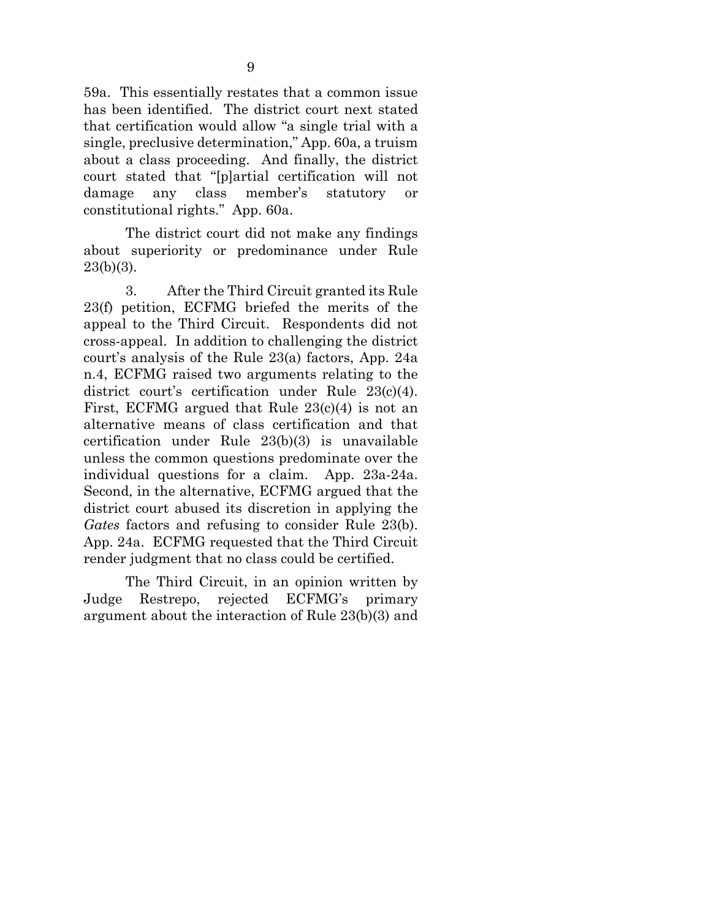59a. This essentially restates that a common issue has been identified. The district court next stated that certification would allow "a single trial with a single, preclusive determination," App. 60a, a truism about a class proceeding. And finally, the district court stated that "[p]artial certification will not damage any class member's statutory or constitutional rights." App. 60a.

The district court did not make any findings about superiority or predominance under Rule 23(b)(3).

<span id="page-19-0"></span>3. After the Third Circuit granted its Rule 23(f) petition, ECFMG briefed the merits of the appeal to the Third Circuit. Respondents did not cross-appeal. In addition to challenging the district court's analysis of the Rule 23(a) factors, App. 24a n.4, ECFMG raised two arguments relating to the district court's certification under Rule 23(c)(4). First, ECFMG argued that Rule 23(c)(4) is not an alternative means of class certification and that certification under Rule 23(b)(3) is unavailable unless the common questions predominate over the individual questions for a claim. App. 23a-24a. Second, in the alternative, ECFMG argued that the district court abused its discretion in applying the *Gates* factors and refusing to consider Rule 23(b). App. 24a. ECFMG requested that the Third Circuit render judgment that no class could be certified.

The Third Circuit, in an opinion written by Judge Restrepo, rejected ECFMG's primary argument about the interaction of Rule 23(b)(3) and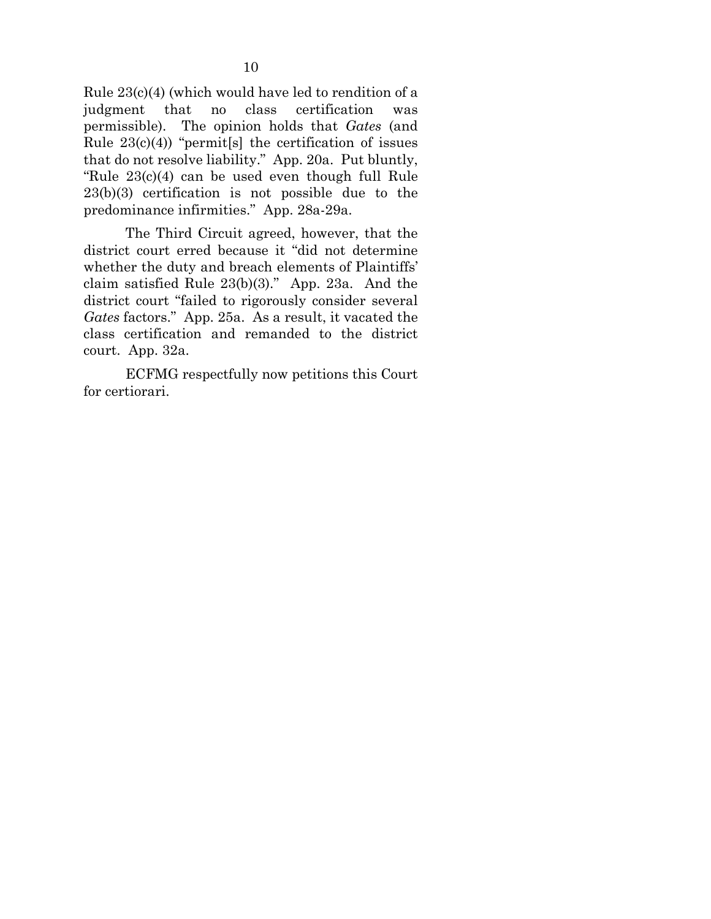Rule 23(c)(4) (which would have led to rendition of a judgment that no class certification was permissible). The opinion holds that *Gates* (and Rule  $23(c)(4)$  "permit [s] the certification of issues that do not resolve liability." App. 20a. Put bluntly, "Rule 23(c)(4) can be used even though full Rule 23(b)(3) certification is not possible due to the predominance infirmities." App. 28a-29a.

The Third Circuit agreed, however, that the district court erred because it "did not determine whether the duty and breach elements of Plaintiffs' claim satisfied Rule 23(b)(3)." App. 23a. And the district court "failed to rigorously consider several *Gates* factors." App. 25a. As a result, it vacated the class certification and remanded to the district court. App. 32a.

ECFMG respectfully now petitions this Court for certiorari.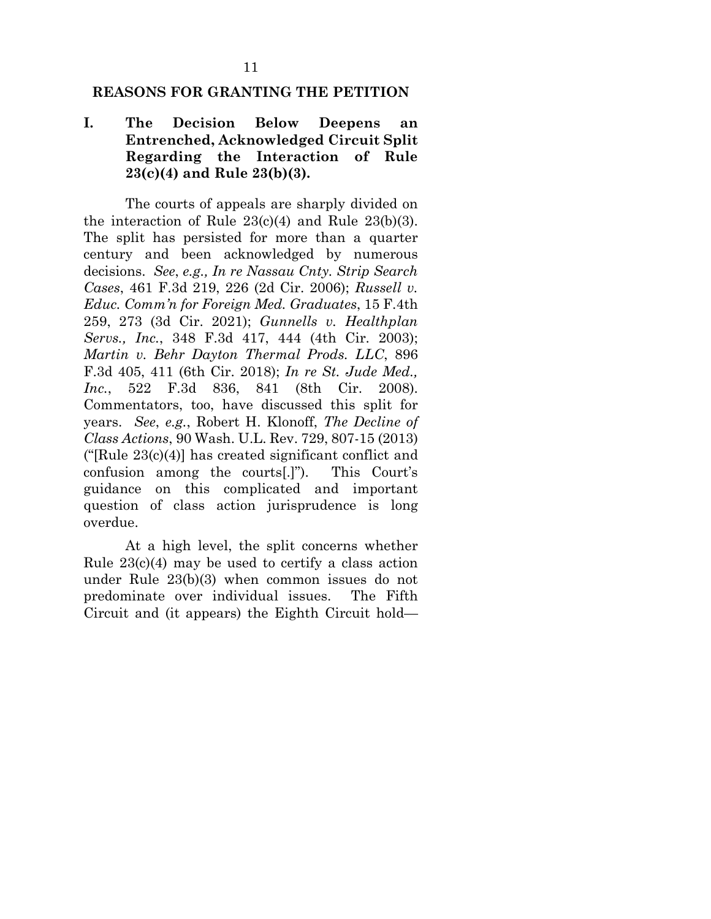### <span id="page-21-0"></span>**REASONS FOR GRANTING THE PETITION**

## <span id="page-21-1"></span>**I. The Decision Below Deepens an Entrenched, Acknowledged Circuit Split Regarding the Interaction of Rule 23(c)(4) and Rule 23(b)(3).**

<span id="page-21-6"></span><span id="page-21-5"></span><span id="page-21-4"></span><span id="page-21-3"></span><span id="page-21-2"></span>The courts of appeals are sharply divided on the interaction of Rule  $23(c)(4)$  and Rule  $23(b)(3)$ . The split has persisted for more than a quarter century and been acknowledged by numerous decisions. *See*, *e.g., In re Nassau Cnty. Strip Search Cases*, 461 F.3d 219, 226 (2d Cir. 2006); *Russell v. Educ. Comm'n for Foreign Med. Graduates*, 15 F.4th 259, 273 (3d Cir. 2021); *Gunnells v. Healthplan Servs., Inc.*, 348 F.3d 417, 444 (4th Cir. 2003); *Martin v. Behr Dayton Thermal Prods. LLC*, 896 F.3d 405, 411 (6th Cir. 2018); *In re St. Jude Med., Inc.*, 522 F.3d 836, 841 (8th Cir. 2008). Commentators, too, have discussed this split for years. *See*, *e.g.*, Robert H. Klonoff, *The Decline of Class Actions*, 90 Wash. U.L. Rev. 729, 807-15 (2013) ("[Rule  $23(c)(4)$ ] has created significant conflict and confusion among the courts[.]"). This Court's guidance on this complicated and important question of class action jurisprudence is long overdue.

<span id="page-21-7"></span>At a high level, the split concerns whether Rule 23(c)(4) may be used to certify a class action under Rule 23(b)(3) when common issues do not predominate over individual issues. The Fifth Circuit and (it appears) the Eighth Circuit hold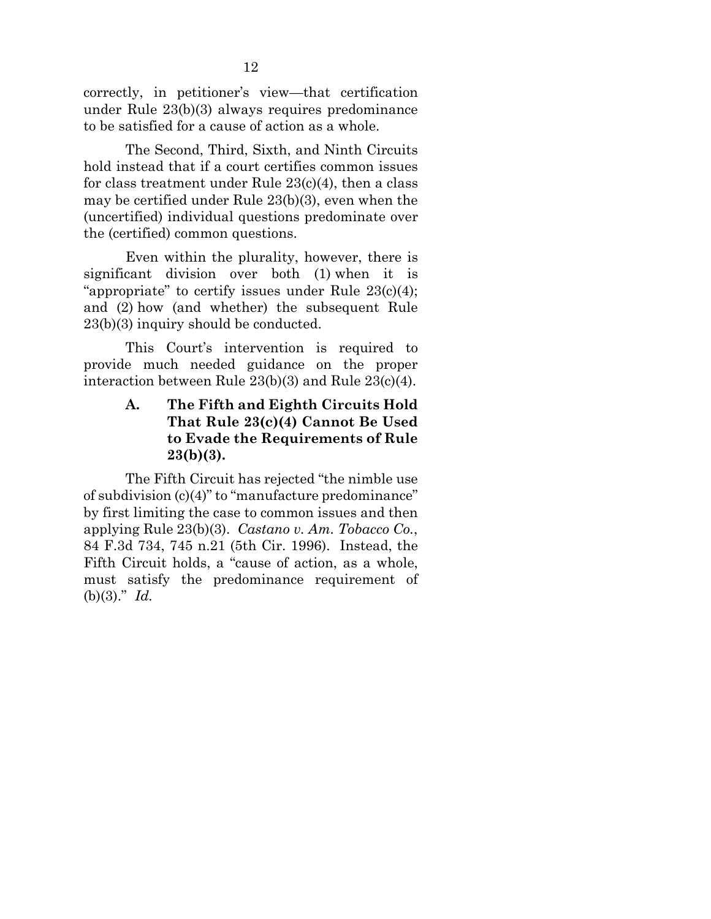correctly, in petitioner's view—that certification under Rule 23(b)(3) always requires predominance to be satisfied for a cause of action as a whole.

The Second, Third, Sixth, and Ninth Circuits hold instead that if a court certifies common issues for class treatment under Rule 23(c)(4), then a class may be certified under Rule 23(b)(3), even when the (uncertified) individual questions predominate over the (certified) common questions.

Even within the plurality, however, there is significant division over both (1) when it is "appropriate" to certify issues under Rule  $23(c)(4)$ ; and (2) how (and whether) the subsequent Rule 23(b)(3) inquiry should be conducted.

This Court's intervention is required to provide much needed guidance on the proper interaction between Rule 23(b)(3) and Rule 23(c)(4).

## <span id="page-22-0"></span>**A. The Fifth and Eighth Circuits Hold That Rule 23(c)(4) Cannot Be Used to Evade the Requirements of Rule 23(b)(3).**

<span id="page-22-1"></span>The Fifth Circuit has rejected "the nimble use of subdivision (c)(4)" to "manufacture predominance" by first limiting the case to common issues and then applying Rule 23(b)(3). *Castano v. Am. Tobacco Co.*, 84 F.3d 734, 745 n.21 (5th Cir. 1996). Instead, the Fifth Circuit holds, a "cause of action, as a whole, must satisfy the predominance requirement of (b)(3)." *Id.*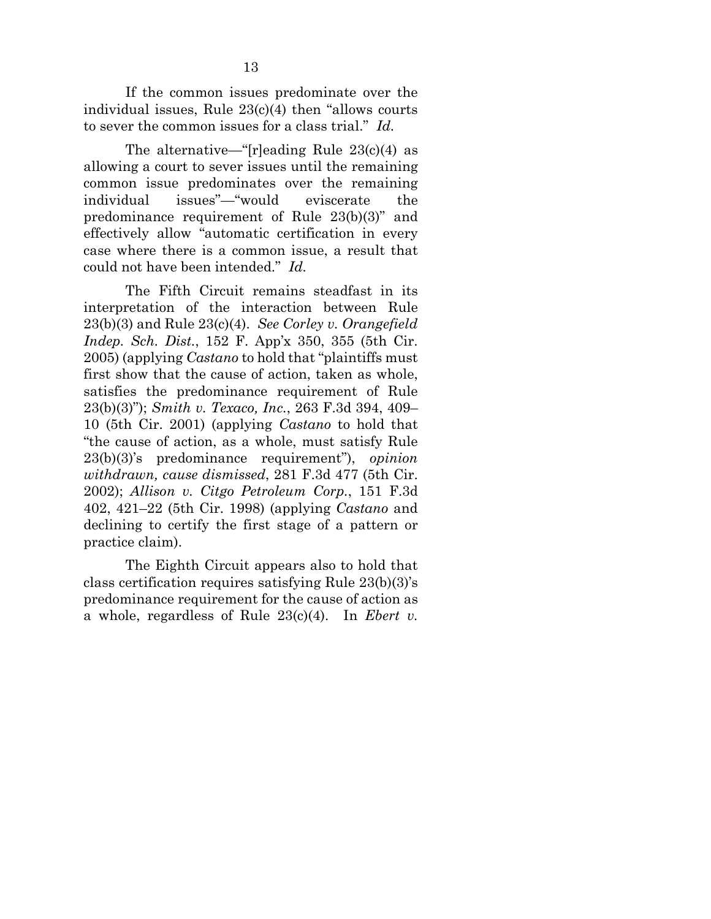If the common issues predominate over the individual issues, Rule 23(c)(4) then "allows courts to sever the common issues for a class trial." *Id.*

<span id="page-23-1"></span>The alternative—"[r]eading Rule  $23(c)(4)$  as allowing a court to sever issues until the remaining common issue predominates over the remaining individual issues"—"would eviscerate the predominance requirement of Rule 23(b)(3)" and effectively allow "automatic certification in every case where there is a common issue, a result that could not have been intended." *Id.*

<span id="page-23-4"></span><span id="page-23-2"></span>The Fifth Circuit remains steadfast in its interpretation of the interaction between Rule 23(b)(3) and Rule 23(c)(4). *See Corley v. Orangefield Indep. Sch. Dist.*, 152 F. App'x 350, 355 (5th Cir. 2005) (applying *Castano* to hold that "plaintiffs must first show that the cause of action, taken as whole, satisfies the predominance requirement of Rule 23(b)(3)"); *Smith v. Texaco, Inc.*, 263 F.3d 394, 409– 10 (5th Cir. 2001) (applying *Castano* to hold that "the cause of action, as a whole, must satisfy Rule 23(b)(3)'s predominance requirement"), *opinion withdrawn, cause dismissed*, 281 F.3d 477 (5th Cir. 2002); *Allison v. Citgo Petroleum Corp.*, 151 F.3d 402, 421–22 (5th Cir. 1998) (applying *Castano* and declining to certify the first stage of a pattern or practice claim).

<span id="page-23-3"></span><span id="page-23-0"></span>The Eighth Circuit appears also to hold that class certification requires satisfying Rule 23(b)(3)'s predominance requirement for the cause of action as a whole, regardless of Rule 23(c)(4). In *Ebert v.*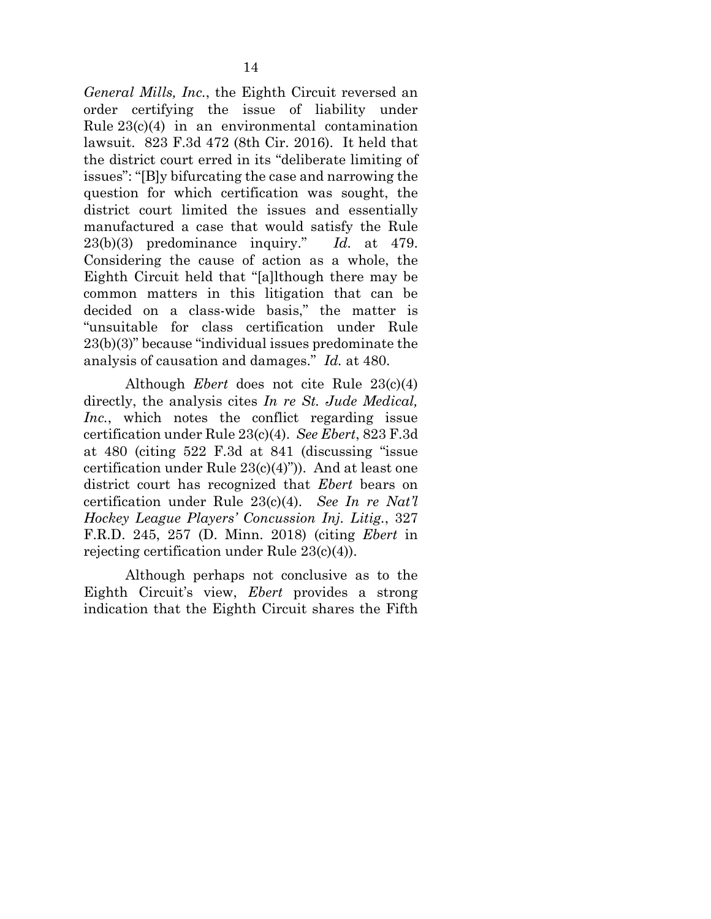<span id="page-24-0"></span>*General Mills, Inc.*, the Eighth Circuit reversed an order certifying the issue of liability under Rule 23(c)(4) in an environmental contamination lawsuit. 823 F.3d 472 (8th Cir. 2016). It held that the district court erred in its "deliberate limiting of issues": "[B]y bifurcating the case and narrowing the question for which certification was sought, the district court limited the issues and essentially manufactured a case that would satisfy the Rule 23(b)(3) predominance inquiry." *Id.* at 479. Considering the cause of action as a whole, the Eighth Circuit held that "[a]lthough there may be common matters in this litigation that can be decided on a class-wide basis," the matter is "unsuitable for class certification under Rule 23(b)(3)" because "individual issues predominate the analysis of causation and damages." *Id.* at 480.

<span id="page-24-2"></span>Although *Ebert* does not cite Rule 23(c)(4) directly, the analysis cites *In re St. Jude Medical, Inc.*, which notes the conflict regarding issue certification under Rule 23(c)(4). *See Ebert*, 823 F.3d at 480 (citing 522 F.3d at 841 (discussing "issue certification under Rule 23(c)(4)")). And at least one district court has recognized that *Ebert* bears on certification under Rule 23(c)(4). *See In re Nat'l Hockey League Players' Concussion Inj. Litig.*, 327 F.R.D. 245, 257 (D. Minn. 2018) (citing *Ebert* in rejecting certification under Rule 23(c)(4)).

<span id="page-24-1"></span>Although perhaps not conclusive as to the Eighth Circuit's view, *Ebert* provides a strong indication that the Eighth Circuit shares the Fifth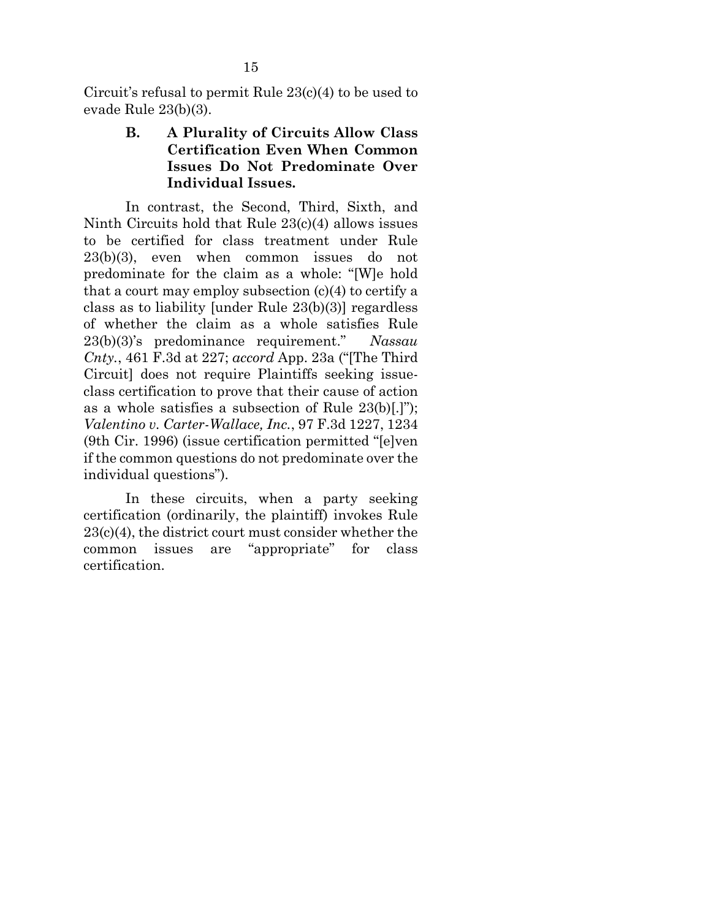<span id="page-25-0"></span>Circuit's refusal to permit Rule 23(c)(4) to be used to evade Rule 23(b)(3).

# **B. A Plurality of Circuits Allow Class Certification Even When Common Issues Do Not Predominate Over Individual Issues.**

In contrast, the Second, Third, Sixth, and Ninth Circuits hold that Rule 23(c)(4) allows issues to be certified for class treatment under Rule 23(b)(3), even when common issues do not predominate for the claim as a whole: "[W]e hold that a court may employ subsection  $(c)(4)$  to certify a class as to liability [under Rule 23(b)(3)] regardless of whether the claim as a whole satisfies Rule 23(b)(3)'s predominance requirement." *Nassau Cnty.*, 461 F.3d at 227; *accord* App. 23a ("[The Third Circuit] does not require Plaintiffs seeking issueclass certification to prove that their cause of action as a whole satisfies a subsection of Rule 23(b)[.]"); *Valentino v. Carter-Wallace, Inc.*, 97 F.3d 1227, 1234 (9th Cir. 1996) (issue certification permitted "[e]ven if the common questions do not predominate over the individual questions").

<span id="page-25-1"></span>In these circuits, when a party seeking certification (ordinarily, the plaintiff) invokes Rule 23(c)(4), the district court must consider whether the common issues are "appropriate" for class certification.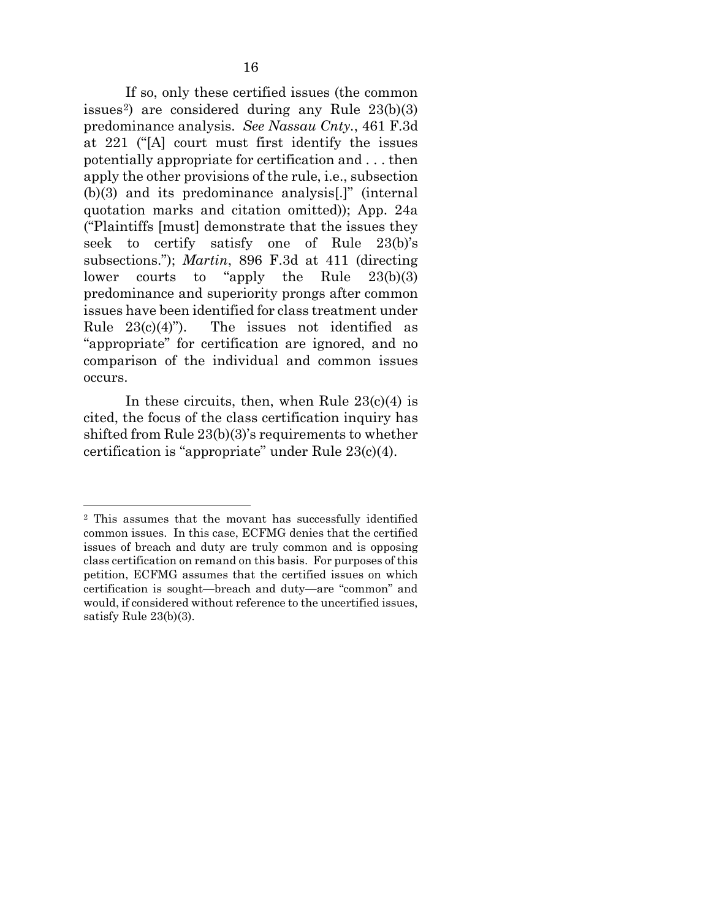If so, only these certified issues (the common issues<sup>2</sup>) are considered during any Rule  $23(b)(3)$ predominance analysis. *See Nassau Cnty.*, 461 F.3d at 221 ("[A] court must first identify the issues potentially appropriate for certification and . . . then apply the other provisions of the rule, i.e., subsection (b)(3) and its predominance analysis[.]" (internal quotation marks and citation omitted)); App. 24a ("Plaintiffs [must] demonstrate that the issues they seek to certify satisfy one of Rule 23(b)'s subsections."); *Martin*, 896 F.3d at 411 (directing lower courts to "apply the Rule 23(b)(3) predominance and superiority prongs after common issues have been identified for class treatment under Rule  $23(c)(4)$ "). The issues not identified as "appropriate" for certification are ignored, and no comparison of the individual and common issues occurs.

In these circuits, then, when Rule  $23(c)(4)$  is cited, the focus of the class certification inquiry has shifted from Rule 23(b)(3)'s requirements to whether certification is "appropriate" under Rule 23(c)(4).

<span id="page-26-0"></span><sup>2</sup> This assumes that the movant has successfully identified common issues. In this case, ECFMG denies that the certified issues of breach and duty are truly common and is opposing class certification on remand on this basis. For purposes of this petition, ECFMG assumes that the certified issues on which certification is sought—breach and duty—are "common" and would, if considered without reference to the uncertified issues, satisfy Rule 23(b)(3).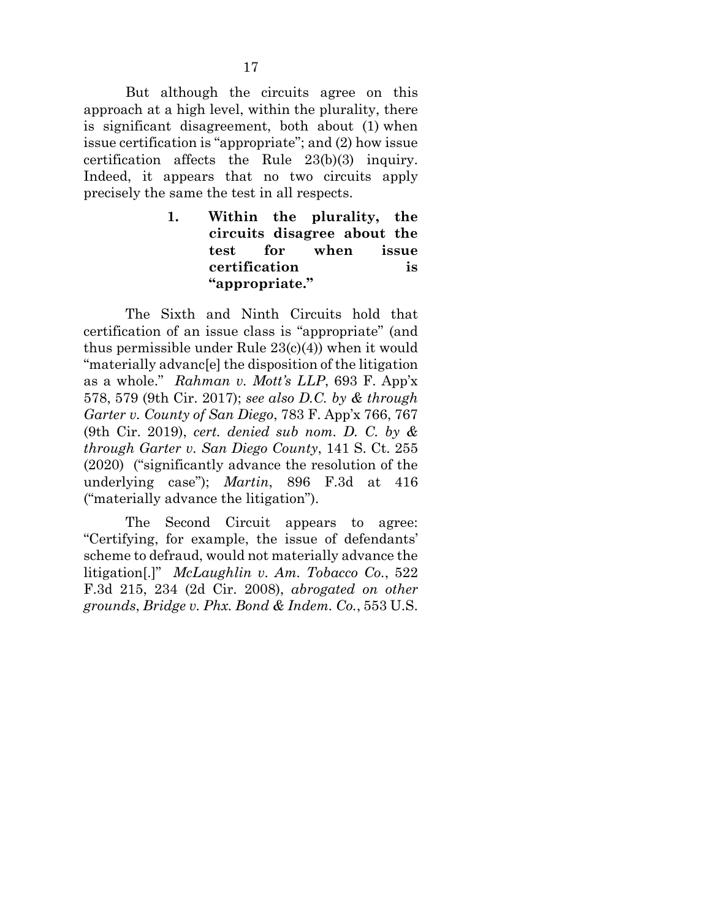But although the circuits agree on this approach at a high level, within the plurality, there is significant disagreement, both about (1) when issue certification is "appropriate"; and (2) how issue certification affects the Rule 23(b)(3) inquiry. Indeed, it appears that no two circuits apply precisely the same the test in all respects.

> <span id="page-27-0"></span>**1. Within the plurality, the circuits disagree about the test for when issue certification is "appropriate."**

<span id="page-27-2"></span>The Sixth and Ninth Circuits hold that certification of an issue class is "appropriate" (and thus permissible under Rule 23(c)(4)) when it would "materially advanc[e] the disposition of the litigation as a whole." *Rahman v. Mott's LLP*, 693 F. App'x 578, 579 (9th Cir. 2017); *see also D.C. by & through Garter v. County of San Diego*, 783 F. App'x 766, 767 (9th Cir. 2019), *cert. denied sub nom. D. C. by & through Garter v. San Diego County*, 141 S. Ct. 255 (2020) ("significantly advance the resolution of the underlying case"); *Martin*, 896 F.3d at 416 ("materially advance the litigation").

<span id="page-27-1"></span>The Second Circuit appears to agree: "Certifying, for example, the issue of defendants' scheme to defraud, would not materially advance the litigation[.]" *McLaughlin v. Am. Tobacco Co.*, 522 F.3d 215, 234 (2d Cir. 2008), *abrogated on other grounds*, *Bridge v. Phx. Bond & Indem. Co.*, 553 U.S.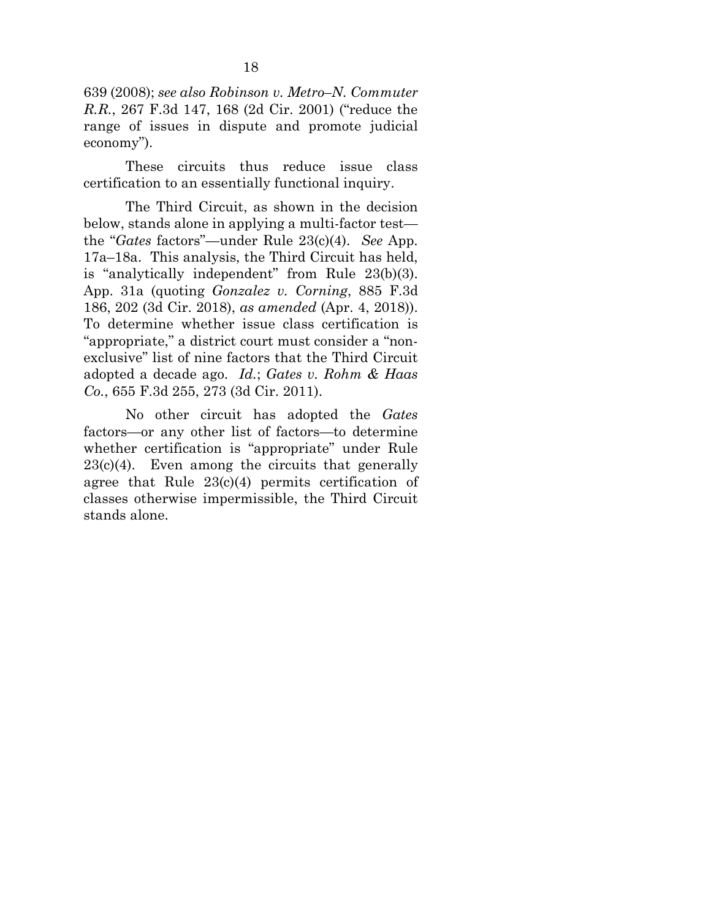<span id="page-28-1"></span>639 (2008); *see also Robinson v. Metro–N. Commuter R.R.*, 267 F.3d 147, 168 (2d Cir. 2001) ("reduce the range of issues in dispute and promote judicial economy").

These circuits thus reduce issue class certification to an essentially functional inquiry.

<span id="page-28-0"></span>The Third Circuit, as shown in the decision below, stands alone in applying a multi-factor test the "*Gates* factors"—under Rule 23(c)(4). *See* App. 17a–18a. This analysis, the Third Circuit has held, is "analytically independent" from Rule 23(b)(3). App. 31a (quoting *Gonzalez v. Corning*, 885 F.3d 186, 202 (3d Cir. 2018), *as amended* (Apr. 4, 2018)). To determine whether issue class certification is "appropriate," a district court must consider a "nonexclusive" list of nine factors that the Third Circuit adopted a decade ago. *Id.*; *Gates v. Rohm & Haas Co.*, 655 F.3d 255, 273 (3d Cir. 2011).

No other circuit has adopted the *Gates*  factors—or any other list of factors—to determine whether certification is "appropriate" under Rule  $23(c)(4)$ . Even among the circuits that generally agree that Rule  $23(c)(4)$  permits certification of classes otherwise impermissible, the Third Circuit stands alone.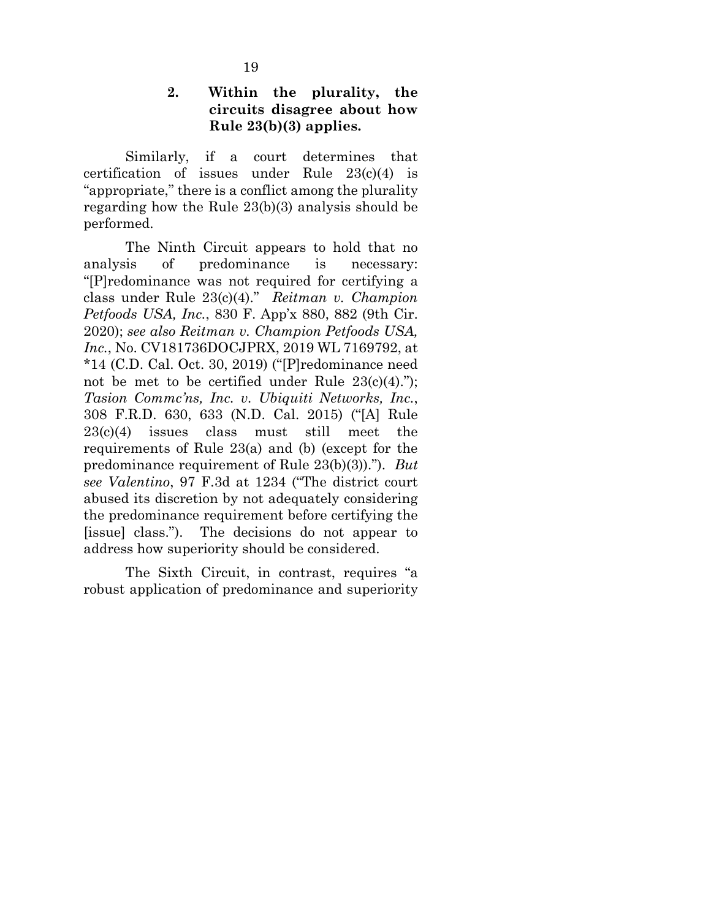### **2. Within the plurality, the circuits disagree about how Rule 23(b)(3) applies.**

Similarly, if a court determines that certification of issues under Rule 23(c)(4) is "appropriate," there is a conflict among the plurality regarding how the Rule 23(b)(3) analysis should be performed.

<span id="page-29-2"></span><span id="page-29-1"></span><span id="page-29-0"></span>The Ninth Circuit appears to hold that no analysis of predominance is necessary: "[P]redominance was not required for certifying a class under Rule 23(c)(4)." *Reitman v. Champion Petfoods USA, Inc.*, 830 F. App'x 880, 882 (9th Cir. 2020); *see also Reitman v. Champion Petfoods USA, Inc.*, No. CV181736DOCJPRX, 2019 WL 7169792, at \*14 (C.D. Cal. Oct. 30, 2019) ("[P]redominance need not be met to be certified under Rule  $23(c)(4)$ ."); *Tasion Commc'ns, Inc. v. Ubiquiti Networks, Inc.*, 308 F.R.D. 630, 633 (N.D. Cal. 2015) ("[A] Rule 23(c)(4) issues class must still meet the requirements of Rule 23(a) and (b) (except for the predominance requirement of Rule 23(b)(3))."). *But see Valentino*, 97 F.3d at 1234 ("The district court abused its discretion by not adequately considering the predominance requirement before certifying the [issue] class."). The decisions do not appear to address how superiority should be considered.

<span id="page-29-3"></span>The Sixth Circuit, in contrast, requires "a robust application of predominance and superiority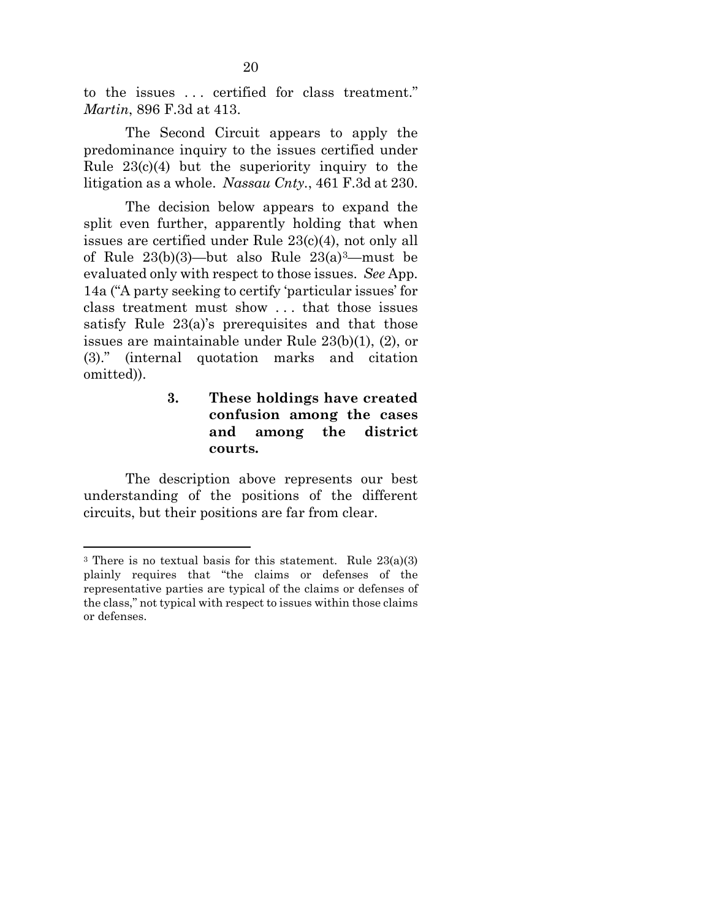to the issues . . . certified for class treatment." *Martin*, 896 F.3d at 413.

The Second Circuit appears to apply the predominance inquiry to the issues certified under Rule  $23(c)(4)$  but the superiority inquiry to the litigation as a whole. *Nassau Cnty.*, 461 F.3d at 230.

The decision below appears to expand the split even further, apparently holding that when issues are certified under Rule 23(c)(4), not only all of Rule  $23(b)(3)$ —but also Rule  $23(a)^3$ —must be evaluated only with respect to those issues. *See* App. 14a ("A party seeking to certify 'particular issues' for class treatment must show . . . that those issues satisfy Rule 23(a)'s prerequisites and that those issues are maintainable under Rule 23(b)(1), (2), or (3)." (internal quotation marks and citation omitted)).

## <span id="page-30-1"></span><span id="page-30-0"></span>**3. These holdings have created confusion among the cases and among the district courts.**

The description above represents our best understanding of the positions of the different circuits, but their positions are far from clear.

<span id="page-30-2"></span><sup>3</sup> There is no textual basis for this statement. Rule 23(a)(3) plainly requires that "the claims or defenses of the representative parties are typical of the claims or defenses of the class," not typical with respect to issues within those claims or defenses.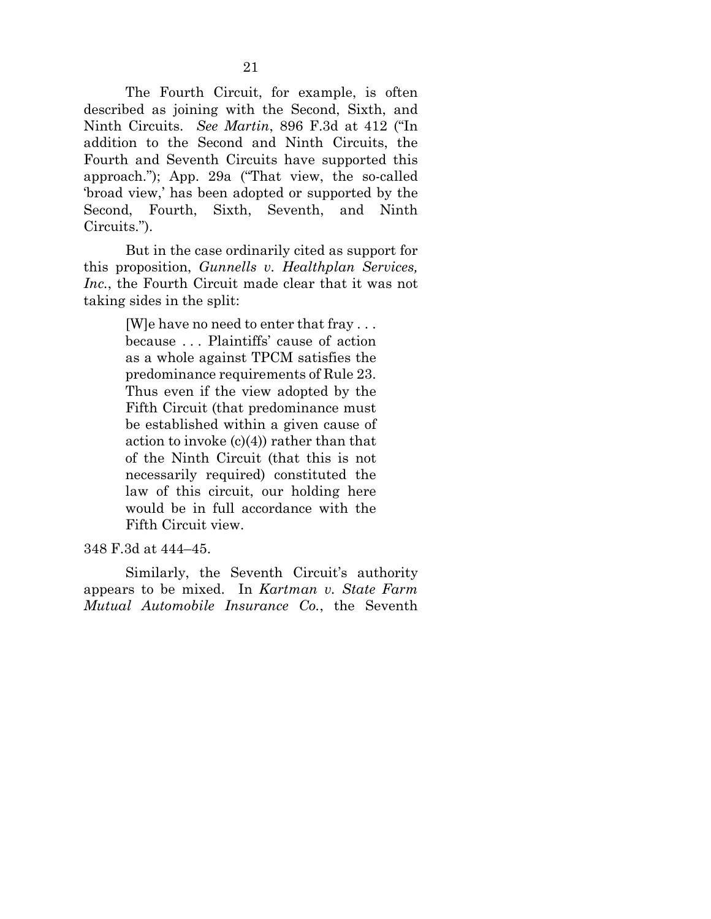The Fourth Circuit, for example, is often described as joining with the Second, Sixth, and Ninth Circuits. *See Martin*, 896 F.3d at 412 ("In addition to the Second and Ninth Circuits, the Fourth and Seventh Circuits have supported this approach."); App. 29a ("That view, the so-called 'broad view,' has been adopted or supported by the Second, Fourth, Sixth, Seventh, and Ninth Circuits.").

But in the case ordinarily cited as support for this proposition, *Gunnells v. Healthplan Services, Inc.*, the Fourth Circuit made clear that it was not taking sides in the split:

> <span id="page-31-2"></span><span id="page-31-0"></span>[W]e have no need to enter that fray . . . because . . . Plaintiffs' cause of action as a whole against TPCM satisfies the predominance requirements of Rule 23. Thus even if the view adopted by the Fifth Circuit (that predominance must be established within a given cause of action to invoke  $(c)(4)$  rather than that of the Ninth Circuit (that this is not necessarily required) constituted the law of this circuit, our holding here would be in full accordance with the Fifth Circuit view.

348 F.3d at 444–45.

<span id="page-31-1"></span>Similarly, the Seventh Circuit's authority appears to be mixed. In *Kartman v. State Farm Mutual Automobile Insurance Co.*, the Seventh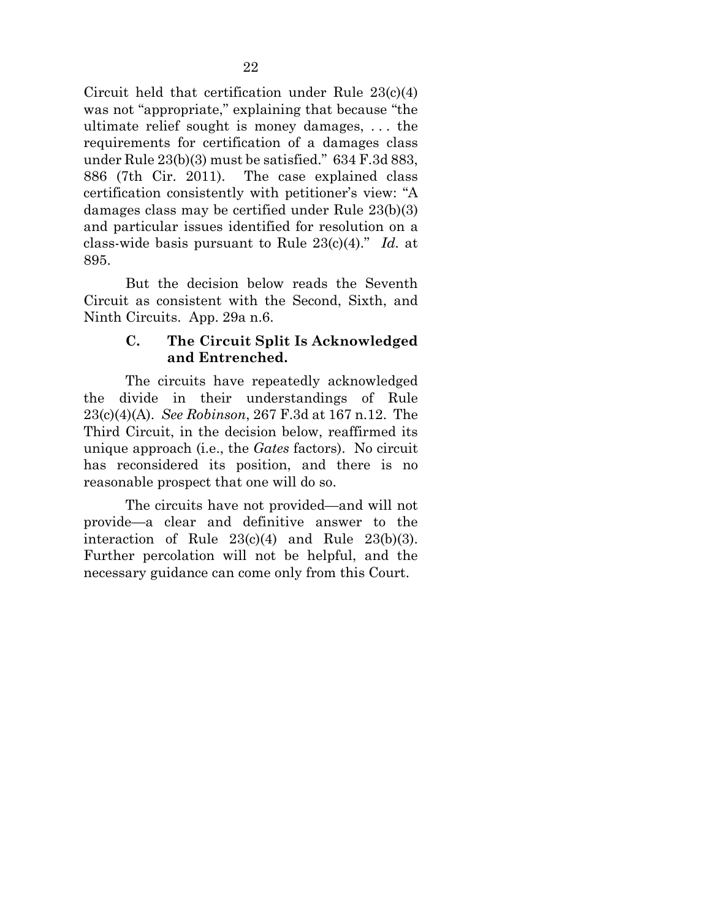<span id="page-32-1"></span>Circuit held that certification under Rule 23(c)(4) was not "appropriate," explaining that because "the ultimate relief sought is money damages, . . . the requirements for certification of a damages class under Rule 23(b)(3) must be satisfied." 634 F.3d 883, 886 (7th Cir. 2011). The case explained class certification consistently with petitioner's view: "A damages class may be certified under Rule 23(b)(3) and particular issues identified for resolution on a class-wide basis pursuant to Rule 23(c)(4)." *Id.* at 895.

But the decision below reads the Seventh Circuit as consistent with the Second, Sixth, and Ninth Circuits. App. 29a n.6.

### <span id="page-32-3"></span><span id="page-32-2"></span>**C. The Circuit Split Is Acknowledged and Entrenched.**

<span id="page-32-0"></span>The circuits have repeatedly acknowledged the divide in their understandings of Rule 23(c)(4)(A). *See Robinson*, 267 F.3d at 167 n.12. The Third Circuit, in the decision below, reaffirmed its unique approach (i.e., the *Gates* factors). No circuit has reconsidered its position, and there is no reasonable prospect that one will do so.

The circuits have not provided—and will not provide—a clear and definitive answer to the interaction of Rule  $23(c)(4)$  and Rule  $23(b)(3)$ . Further percolation will not be helpful, and the necessary guidance can come only from this Court.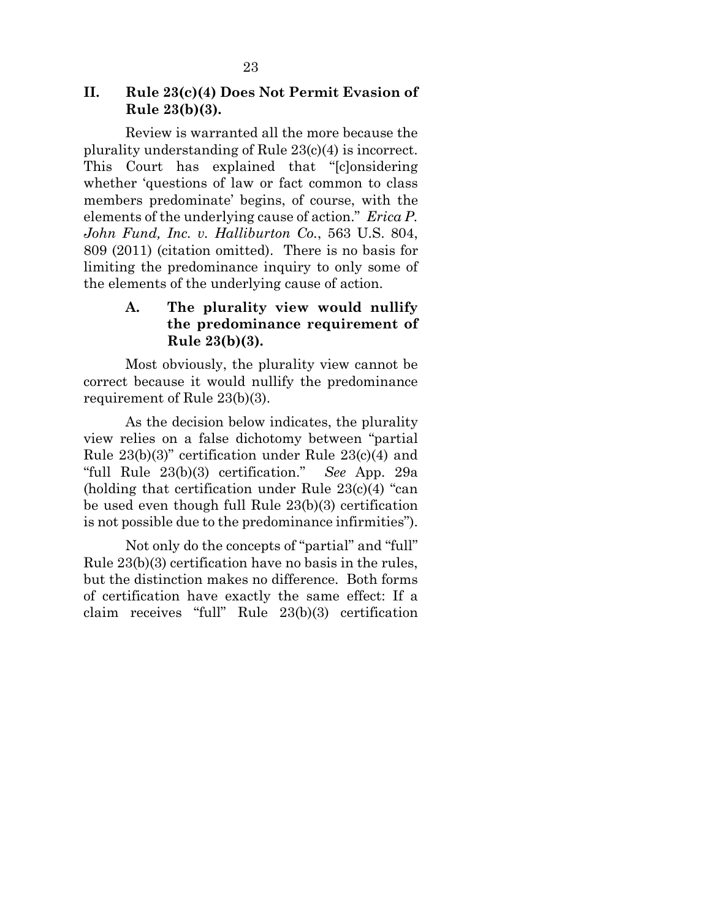### <span id="page-33-0"></span>**II. Rule 23(c)(4) Does Not Permit Evasion of Rule 23(b)(3).**

Review is warranted all the more because the plurality understanding of Rule 23(c)(4) is incorrect. This Court has explained that "[c]onsidering whether 'questions of law or fact common to class members predominate' begins, of course, with the elements of the underlying cause of action." *Erica P. John Fund, Inc. v. Halliburton Co.*, 563 U.S. 804, 809 (2011) (citation omitted). There is no basis for limiting the predominance inquiry to only some of the elements of the underlying cause of action.

## <span id="page-33-2"></span><span id="page-33-1"></span>**A. The plurality view would nullify the predominance requirement of Rule 23(b)(3).**

Most obviously, the plurality view cannot be correct because it would nullify the predominance requirement of Rule 23(b)(3).

As the decision below indicates, the plurality view relies on a false dichotomy between "partial Rule 23(b)(3)" certification under Rule 23(c)(4) and "full Rule 23(b)(3) certification." *See* App. 29a (holding that certification under Rule 23(c)(4) "can be used even though full Rule 23(b)(3) certification is not possible due to the predominance infirmities").

Not only do the concepts of "partial" and "full" Rule 23(b)(3) certification have no basis in the rules, but the distinction makes no difference. Both forms of certification have exactly the same effect: If a claim receives "full" Rule 23(b)(3) certification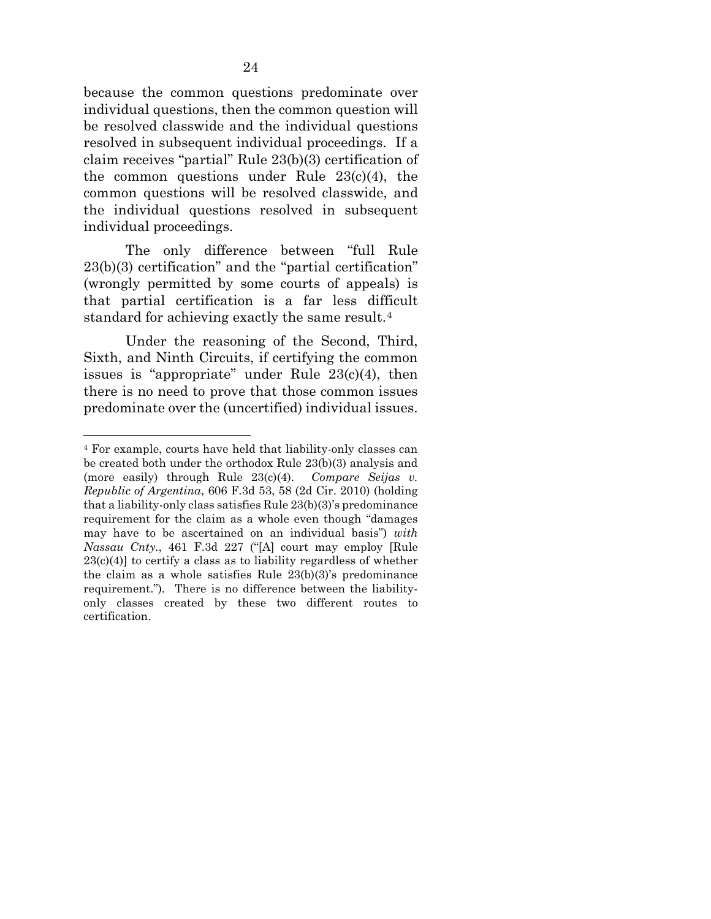because the common questions predominate over individual questions, then the common question will be resolved classwide and the individual questions resolved in subsequent individual proceedings. If a claim receives "partial" Rule 23(b)(3) certification of the common questions under Rule  $23(c)(4)$ , the common questions will be resolved classwide, and the individual questions resolved in subsequent individual proceedings.

The only difference between "full Rule 23(b)(3) certification" and the "partial certification" (wrongly permitted by some courts of appeals) is that partial certification is a far less difficult standard for achieving exactly the same result.[4](#page-34-1)

Under the reasoning of the Second, Third, Sixth, and Ninth Circuits, if certifying the common issues is "appropriate" under Rule 23(c)(4), then there is no need to prove that those common issues predominate over the (uncertified) individual issues.

<span id="page-34-1"></span><span id="page-34-0"></span><sup>4</sup> For example, courts have held that liability-only classes can be created both under the orthodox Rule 23(b)(3) analysis and (more easily) through Rule 23(c)(4). *Compare Seijas v. Republic of Argentina*, 606 F.3d 53, 58 (2d Cir. 2010) (holding that a liability-only class satisfies Rule 23(b)(3)'s predominance requirement for the claim as a whole even though "damages may have to be ascertained on an individual basis") *with Nassau Cnty.*, 461 F.3d 227 ("[A] court may employ [Rule  $23(c)(4)$ ] to certify a class as to liability regardless of whether the claim as a whole satisfies Rule 23(b)(3)'s predominance requirement.")*.* There is no difference between the liabilityonly classes created by these two different routes to certification.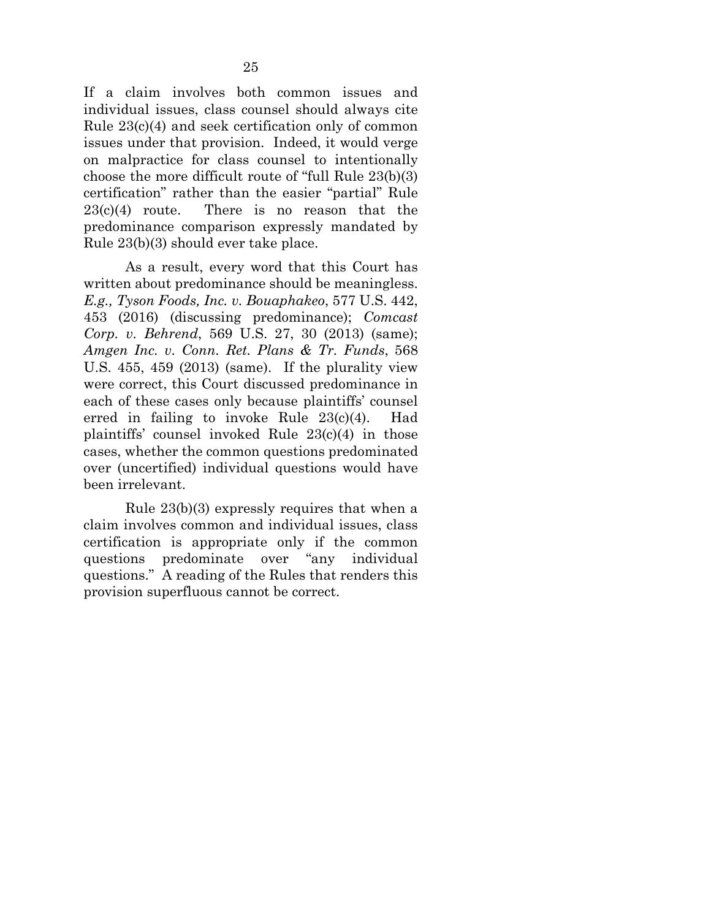If a claim involves both common issues and individual issues, class counsel should always cite Rule 23(c)(4) and seek certification only of common issues under that provision. Indeed, it would verge on malpractice for class counsel to intentionally choose the more difficult route of "full Rule 23(b)(3) certification" rather than the easier "partial" Rule  $23(c)(4)$  route. There is no reason that the predominance comparison expressly mandated by Rule 23(b)(3) should ever take place.

<span id="page-35-2"></span><span id="page-35-1"></span><span id="page-35-0"></span>As a result, every word that this Court has written about predominance should be meaningless. *E.g., Tyson Foods, Inc. v. Bouaphakeo*, 577 U.S. 442, 453 (2016) (discussing predominance); *Comcast Corp. v. Behrend*, 569 U.S. 27, 30 (2013) (same); *Amgen Inc. v. Conn. Ret. Plans & Tr. Funds*, 568 U.S. 455, 459 (2013) (same). If the plurality view were correct, this Court discussed predominance in each of these cases only because plaintiffs' counsel erred in failing to invoke Rule 23(c)(4). Had plaintiffs' counsel invoked Rule 23(c)(4) in those cases, whether the common questions predominated over (uncertified) individual questions would have been irrelevant.

Rule 23(b)(3) expressly requires that when a claim involves common and individual issues, class certification is appropriate only if the common questions predominate over "any individual questions." A reading of the Rules that renders this provision superfluous cannot be correct.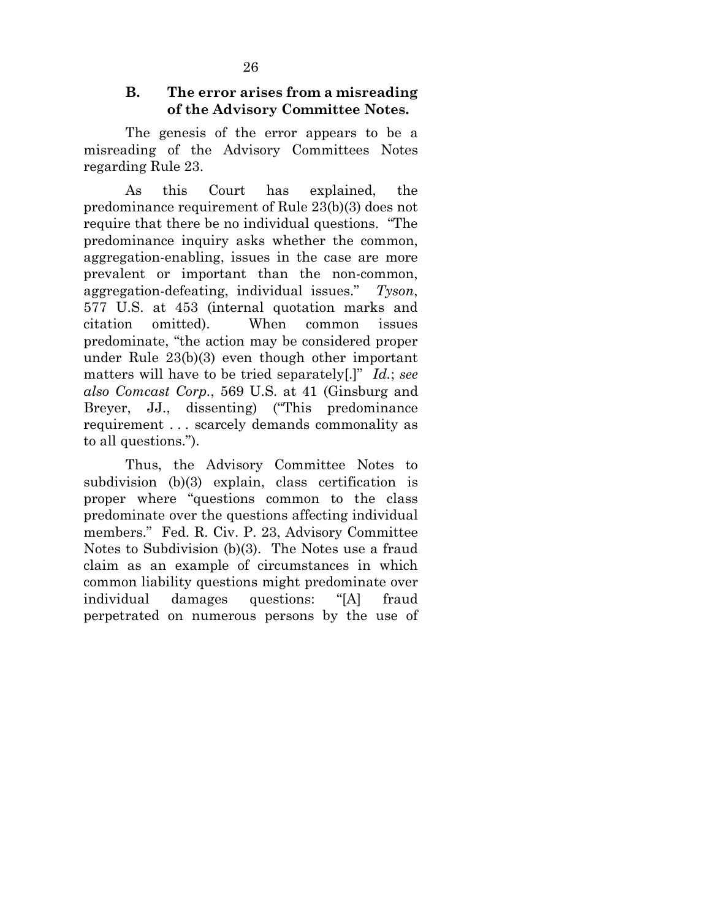### <span id="page-36-3"></span>**B. The error arises from a misreading of the Advisory Committee Notes.**

<span id="page-36-0"></span>The genesis of the error appears to be a misreading of the Advisory Committees Notes regarding Rule 23.

<span id="page-36-2"></span>As this Court has explained, the predominance requirement of Rule 23(b)(3) does not require that there be no individual questions. "The predominance inquiry asks whether the common, aggregation-enabling, issues in the case are more prevalent or important than the non-common, aggregation-defeating, individual issues." *Tyson*, 577 U.S. at 453 (internal quotation marks and citation omitted). When common issues predominate, "the action may be considered proper under Rule 23(b)(3) even though other important matters will have to be tried separately[.]" *Id.*; *see also Comcast Corp.*, 569 U.S. at 41 (Ginsburg and Breyer, JJ., dissenting) ("This predominance requirement . . . scarcely demands commonality as to all questions.").

<span id="page-36-4"></span><span id="page-36-1"></span>Thus, the Advisory Committee Notes to subdivision (b)(3) explain, class certification is proper where "questions common to the class predominate over the questions affecting individual members." Fed. R. Civ. P. 23, Advisory Committee Notes to Subdivision (b)(3). The Notes use a fraud claim as an example of circumstances in which common liability questions might predominate over individual damages questions: "[A] fraud perpetrated on numerous persons by the use of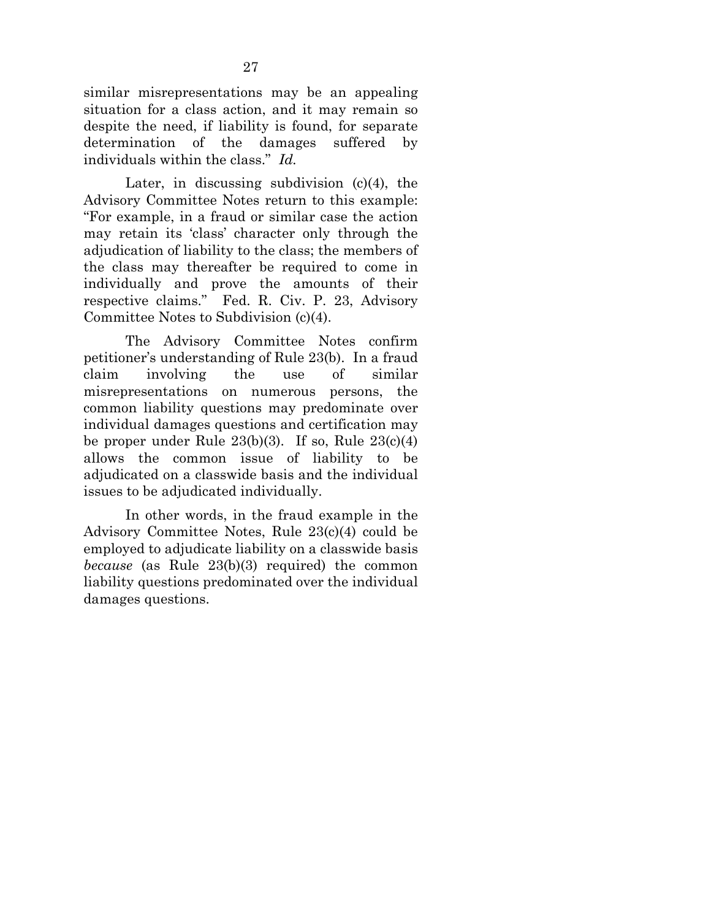similar misrepresentations may be an appealing situation for a class action, and it may remain so despite the need, if liability is found, for separate determination of the damages suffered by individuals within the class." *Id.*

<span id="page-37-0"></span>Later, in discussing subdivision  $(c)(4)$ , the Advisory Committee Notes return to this example: "For example, in a fraud or similar case the action may retain its 'class' character only through the adjudication of liability to the class; the members of the class may thereafter be required to come in individually and prove the amounts of their respective claims." Fed. R. Civ. P. 23, Advisory Committee Notes to Subdivision (c)(4).

The Advisory Committee Notes confirm petitioner's understanding of Rule 23(b). In a fraud claim involving the use of similar misrepresentations on numerous persons, the common liability questions may predominate over individual damages questions and certification may be proper under Rule  $23(b)(3)$ . If so, Rule  $23(c)(4)$ allows the common issue of liability to be adjudicated on a classwide basis and the individual issues to be adjudicated individually.

In other words, in the fraud example in the Advisory Committee Notes, Rule 23(c)(4) could be employed to adjudicate liability on a classwide basis *because* (as Rule 23(b)(3) required) the common liability questions predominated over the individual damages questions.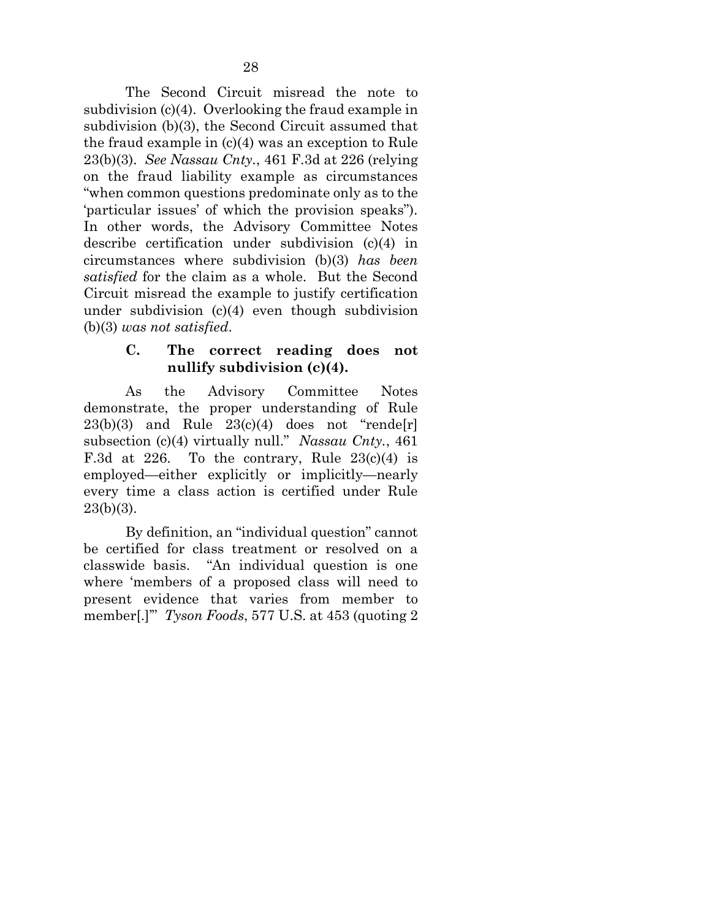The Second Circuit misread the note to subdivision (c)(4). Overlooking the fraud example in subdivision (b)(3), the Second Circuit assumed that the fraud example in (c)(4) was an exception to Rule 23(b)(3). *See Nassau Cnty.*, 461 F.3d at 226 (relying on the fraud liability example as circumstances "when common questions predominate only as to the 'particular issues' of which the provision speaks"). In other words, the Advisory Committee Notes describe certification under subdivision (c)(4) in circumstances where subdivision (b)(3) *has been satisfied* for the claim as a whole. But the Second Circuit misread the example to justify certification under subdivision (c)(4) even though subdivision (b)(3) *was not satisfied*.

## **C. The correct reading does not nullify subdivision (c)(4).**

<span id="page-38-0"></span>As the Advisory Committee Notes demonstrate, the proper understanding of Rule  $23(b)(3)$  and Rule  $23(c)(4)$  does not "rende[r] subsection (c)(4) virtually null." *Nassau Cnty.*, 461 F.3d at 226. To the contrary, Rule  $23(c)(4)$  is employed—either explicitly or implicitly—nearly every time a class action is certified under Rule  $23(b)(3)$ .

<span id="page-38-2"></span><span id="page-38-1"></span>By definition, an "individual question" cannot be certified for class treatment or resolved on a classwide basis. "An individual question is one where 'members of a proposed class will need to present evidence that varies from member to member[.]'" *Tyson Foods*, 577 U.S. at 453 (quoting 2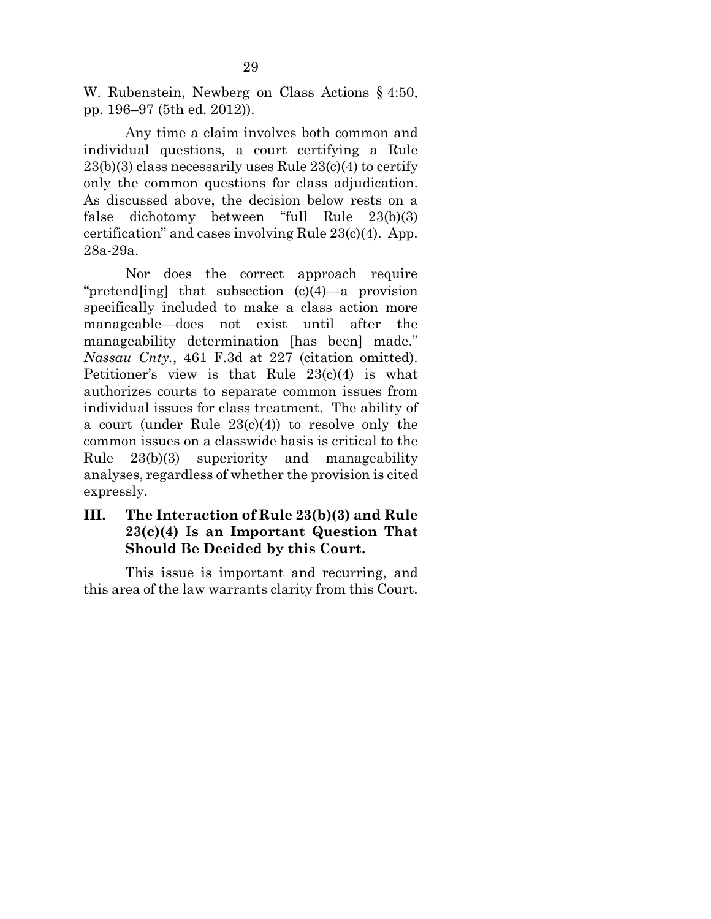W. Rubenstein, Newberg on Class Actions § 4:50, pp. 196–97 (5th ed. 2012)).

Any time a claim involves both common and individual questions, a court certifying a Rule  $23(b)(3)$  class necessarily uses Rule  $23(c)(4)$  to certify only the common questions for class adjudication. As discussed above, the decision below rests on a false dichotomy between "full Rule 23(b)(3) certification" and cases involving Rule 23(c)(4). App. 28a-29a.

Nor does the correct approach require "pretend[ing] that subsection (c)(4)—a provision specifically included to make a class action more manageable—does not exist until after the manageability determination [has been] made." *Nassau Cnty.*, 461 F.3d at 227 (citation omitted). Petitioner's view is that Rule 23(c)(4) is what authorizes courts to separate common issues from individual issues for class treatment. The ability of a court (under Rule 23(c)(4)) to resolve only the common issues on a classwide basis is critical to the Rule 23(b)(3) superiority and manageability analyses, regardless of whether the provision is cited expressly.

## <span id="page-39-0"></span>**III. The Interaction of Rule 23(b)(3) and Rule 23(c)(4) Is an Important Question That Should Be Decided by this Court.**

This issue is important and recurring, and this area of the law warrants clarity from this Court.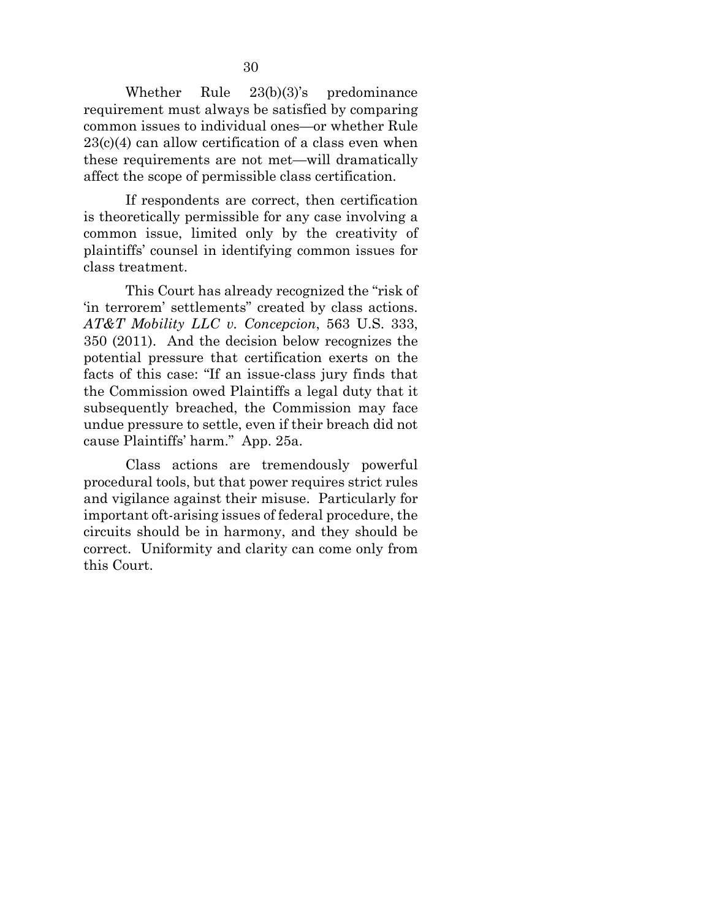Whether Rule 23(b)(3)'s predominance requirement must always be satisfied by comparing common issues to individual ones—or whether Rule  $23(c)(4)$  can allow certification of a class even when these requirements are not met—will dramatically affect the scope of permissible class certification.

If respondents are correct, then certification is theoretically permissible for any case involving a common issue, limited only by the creativity of plaintiffs' counsel in identifying common issues for class treatment.

<span id="page-40-0"></span>This Court has already recognized the "risk of 'in terrorem' settlements" created by class actions. *AT&T Mobility LLC v. Concepcion*, 563 U.S. 333, 350 (2011). And the decision below recognizes the potential pressure that certification exerts on the facts of this case: "If an issue-class jury finds that the Commission owed Plaintiffs a legal duty that it subsequently breached, the Commission may face undue pressure to settle, even if their breach did not cause Plaintiffs' harm." App. 25a.

Class actions are tremendously powerful procedural tools, but that power requires strict rules and vigilance against their misuse. Particularly for important oft-arising issues of federal procedure, the circuits should be in harmony, and they should be correct. Uniformity and clarity can come only from this Court.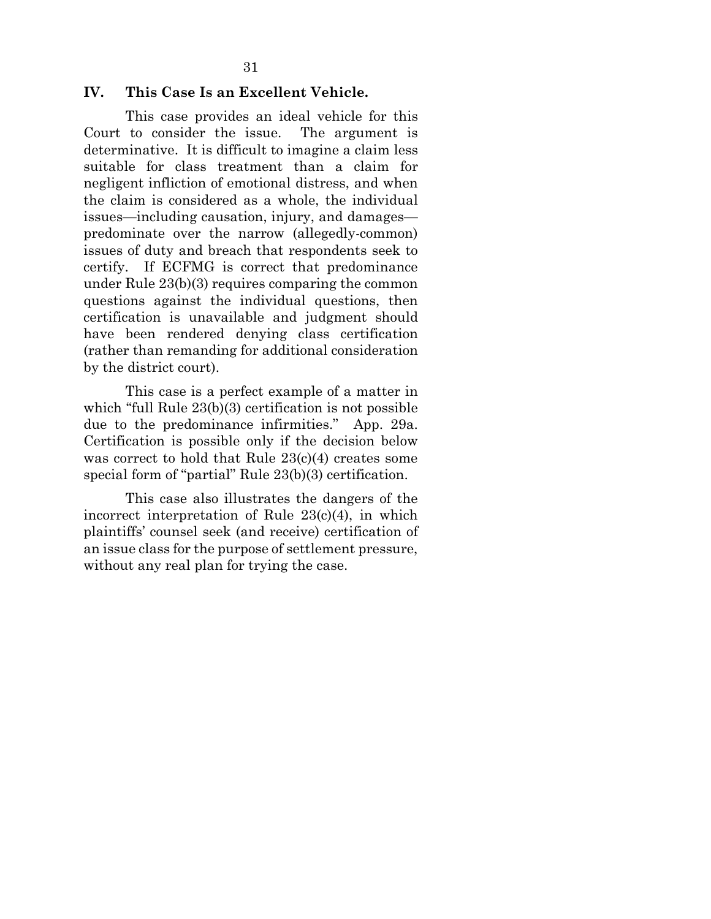### <span id="page-41-0"></span>**IV. This Case Is an Excellent Vehicle.**

This case provides an ideal vehicle for this Court to consider the issue. The argument is determinative. It is difficult to imagine a claim less suitable for class treatment than a claim for negligent infliction of emotional distress, and when the claim is considered as a whole, the individual issues—including causation, injury, and damages predominate over the narrow (allegedly-common) issues of duty and breach that respondents seek to certify. If ECFMG is correct that predominance under Rule 23(b)(3) requires comparing the common questions against the individual questions, then certification is unavailable and judgment should have been rendered denying class certification (rather than remanding for additional consideration by the district court).

This case is a perfect example of a matter in which "full Rule  $23(b)(3)$  certification is not possible due to the predominance infirmities." App. 29a. Certification is possible only if the decision below was correct to hold that Rule 23(c)(4) creates some special form of "partial" Rule 23(b)(3) certification.

This case also illustrates the dangers of the incorrect interpretation of Rule 23(c)(4), in which plaintiffs' counsel seek (and receive) certification of an issue class for the purpose of settlement pressure, without any real plan for trying the case.